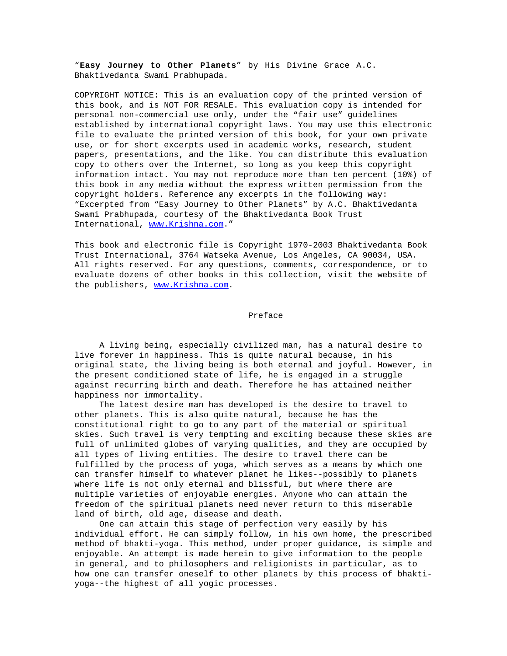"**Easy Journey to Other Planets**" by His Divine Grace A.C. Bhaktivedanta Swami Prabhupada.

COPYRIGHT NOTICE: This is an evaluation copy of the printed version of this book, and is NOT FOR RESALE. This evaluation copy is intended for personal non-commercial use only, under the "fair use" guidelines established by international copyright laws. You may use this electronic file to evaluate the printed version of this book, for your own private use, or for short excerpts used in academic works, research, student papers, presentations, and the like. You can distribute this evaluation copy to others over the Internet, so long as you keep this copyright information intact. You may not reproduce more than ten percent (10%) of this book in any media without the express written permission from the copyright holders. Reference any excerpts in the following way: "Excerpted from "Easy Journey to Other Planets" by A.C. Bhaktivedanta Swami Prabhupada, courtesy of the Bhaktivedanta Book Trust International, www.Krishna.com."

This book and electronic file is Copyright 1970-2003 Bhaktivedanta Book Trust International, 3764 Watseka Avenue, Los Angeles, CA 90034, USA. All rights reserved. For any questions, comments, correspondence, or to evaluate dozens of other books in this collection, visit the website of the publishers, www.Krishna.com.

## Preface

 A living being, especially civilized man, has a natural desire to live forever in happiness. This is quite natural because, in his original state, the living being is both eternal and joyful. However, in the present conditioned state of life, he is engaged in a struggle against recurring birth and death. Therefore he has attained neither happiness nor immortality.

 The latest desire man has developed is the desire to travel to other planets. This is also quite natural, because he has the constitutional right to go to any part of the material or spiritual skies. Such travel is very tempting and exciting because these skies are full of unlimited globes of varying qualities, and they are occupied by all types of living entities. The desire to travel there can be fulfilled by the process of yoga, which serves as a means by which one can transfer himself to whatever planet he likes--possibly to planets where life is not only eternal and blissful, but where there are multiple varieties of enjoyable energies. Anyone who can attain the freedom of the spiritual planets need never return to this miserable land of birth, old age, disease and death.

 One can attain this stage of perfection very easily by his individual effort. He can simply follow, in his own home, the prescribed method of bhakti-yoga. This method, under proper guidance, is simple and enjoyable. An attempt is made herein to give information to the people in general, and to philosophers and religionists in particular, as to how one can transfer oneself to other planets by this process of bhaktiyoga--the highest of all yogic processes.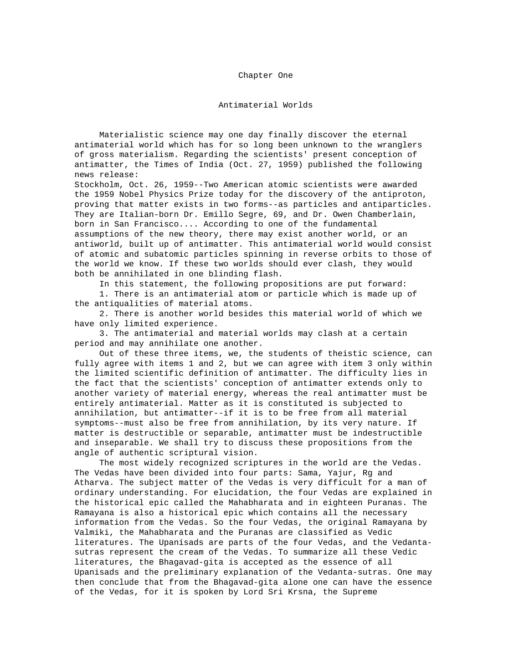## Chapter One

## Antimaterial Worlds

 Materialistic science may one day finally discover the eternal antimaterial world which has for so long been unknown to the wranglers of gross materialism. Regarding the scientists' present conception of antimatter, the Times of India (Oct. 27, 1959) published the following news release:

Stockholm, Oct. 26, 1959--Two American atomic scientists were awarded the 1959 Nobel Physics Prize today for the discovery of the antiproton, proving that matter exists in two forms--as particles and antiparticles. They are Italian-born Dr. Emillo Segre, 69, and Dr. Owen Chamberlain, born in San Francisco.... According to one of the fundamental assumptions of the new theory, there may exist another world, or an antiworld, built up of antimatter. This antimaterial world would consist of atomic and subatomic particles spinning in reverse orbits to those of the world we know. If these two worlds should ever clash, they would both be annihilated in one blinding flash.

In this statement, the following propositions are put forward:

 1. There is an antimaterial atom or particle which is made up of the antiqualities of material atoms.

 2. There is another world besides this material world of which we have only limited experience.

 3. The antimaterial and material worlds may clash at a certain period and may annihilate one another.

 Out of these three items, we, the students of theistic science, can fully agree with items 1 and 2, but we can agree with item 3 only within the limited scientific definition of antimatter. The difficulty lies in the fact that the scientists' conception of antimatter extends only to another variety of material energy, whereas the real antimatter must be entirely antimaterial. Matter as it is constituted is subjected to annihilation, but antimatter--if it is to be free from all material symptoms--must also be free from annihilation, by its very nature. If matter is destructible or separable, antimatter must be indestructible and inseparable. We shall try to discuss these propositions from the angle of authentic scriptural vision.

 The most widely recognized scriptures in the world are the Vedas. The Vedas have been divided into four parts: Sama, Yajur, Rg and Atharva. The subject matter of the Vedas is very difficult for a man of ordinary understanding. For elucidation, the four Vedas are explained in the historical epic called the Mahabharata and in eighteen Puranas. The Ramayana is also a historical epic which contains all the necessary information from the Vedas. So the four Vedas, the original Ramayana by Valmiki, the Mahabharata and the Puranas are classified as Vedic literatures. The Upanisads are parts of the four Vedas, and the Vedantasutras represent the cream of the Vedas. To summarize all these Vedic literatures, the Bhagavad-gita is accepted as the essence of all Upanisads and the preliminary explanation of the Vedanta-sutras. One may then conclude that from the Bhagavad-gita alone one can have the essence of the Vedas, for it is spoken by Lord Sri Krsna, the Supreme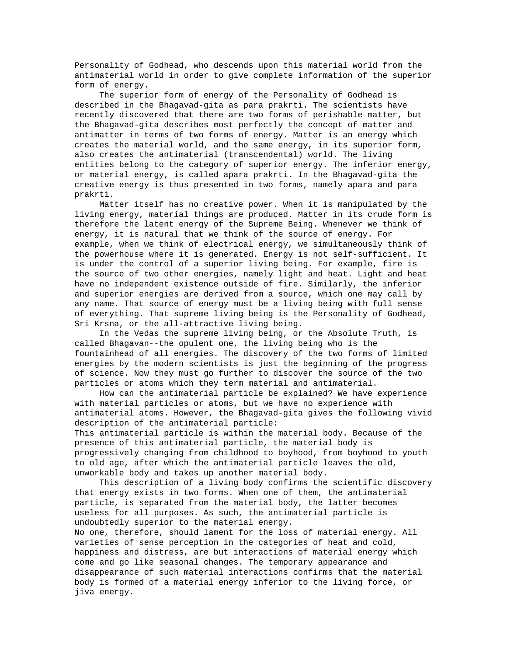Personality of Godhead, who descends upon this material world from the antimaterial world in order to give complete information of the superior form of energy.

 The superior form of energy of the Personality of Godhead is described in the Bhagavad-gita as para prakrti. The scientists have recently discovered that there are two forms of perishable matter, but the Bhagavad-gita describes most perfectly the concept of matter and antimatter in terms of two forms of energy. Matter is an energy which creates the material world, and the same energy, in its superior form, also creates the antimaterial (transcendental) world. The living entities belong to the category of superior energy. The inferior energy, or material energy, is called apara prakrti. In the Bhagavad-gita the creative energy is thus presented in two forms, namely apara and para prakrti.

 Matter itself has no creative power. When it is manipulated by the living energy, material things are produced. Matter in its crude form is therefore the latent energy of the Supreme Being. Whenever we think of energy, it is natural that we think of the source of energy. For example, when we think of electrical energy, we simultaneously think of the powerhouse where it is generated. Energy is not self-sufficient. It is under the control of a superior living being. For example, fire is the source of two other energies, namely light and heat. Light and heat have no independent existence outside of fire. Similarly, the inferior and superior energies are derived from a source, which one may call by any name. That source of energy must be a living being with full sense of everything. That supreme living being is the Personality of Godhead, Sri Krsna, or the all-attractive living being.

 In the Vedas the supreme living being, or the Absolute Truth, is called Bhagavan--the opulent one, the living being who is the fountainhead of all energies. The discovery of the two forms of limited energies by the modern scientists is just the beginning of the progress of science. Now they must go further to discover the source of the two particles or atoms which they term material and antimaterial.

 How can the antimaterial particle be explained? We have experience with material particles or atoms, but we have no experience with antimaterial atoms. However, the Bhagavad-gita gives the following vivid description of the antimaterial particle: This antimaterial particle is within the material body. Because of the presence of this antimaterial particle, the material body is progressively changing from childhood to boyhood, from boyhood to youth to old age, after which the antimaterial particle leaves the old, unworkable body and takes up another material body.

 This description of a living body confirms the scientific discovery that energy exists in two forms. When one of them, the antimaterial particle, is separated from the material body, the latter becomes useless for all purposes. As such, the antimaterial particle is undoubtedly superior to the material energy.

No one, therefore, should lament for the loss of material energy. All varieties of sense perception in the categories of heat and cold, happiness and distress, are but interactions of material energy which come and go like seasonal changes. The temporary appearance and disappearance of such material interactions confirms that the material body is formed of a material energy inferior to the living force, or jiva energy.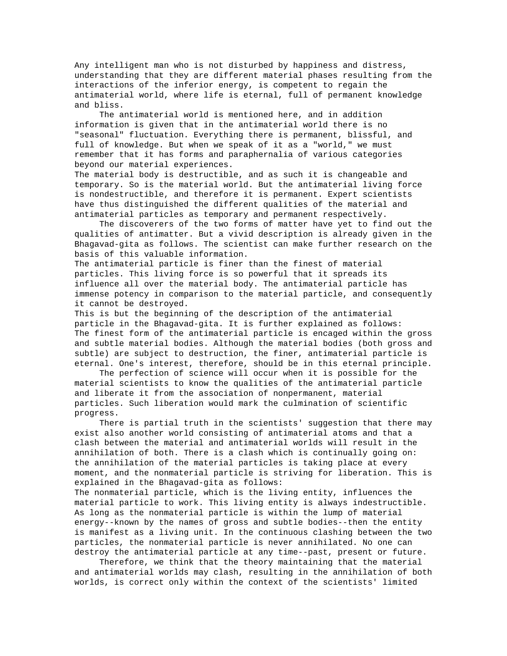Any intelligent man who is not disturbed by happiness and distress, understanding that they are different material phases resulting from the interactions of the inferior energy, is competent to regain the antimaterial world, where life is eternal, full of permanent knowledge and bliss.

 The antimaterial world is mentioned here, and in addition information is given that in the antimaterial world there is no "seasonal" fluctuation. Everything there is permanent, blissful, and full of knowledge. But when we speak of it as a "world," we must remember that it has forms and paraphernalia of various categories beyond our material experiences.

The material body is destructible, and as such it is changeable and temporary. So is the material world. But the antimaterial living force is nondestructible, and therefore it is permanent. Expert scientists have thus distinguished the different qualities of the material and antimaterial particles as temporary and permanent respectively.

 The discoverers of the two forms of matter have yet to find out the qualities of antimatter. But a vivid description is already given in the Bhagavad-gita as follows. The scientist can make further research on the basis of this valuable information.

The antimaterial particle is finer than the finest of material particles. This living force is so powerful that it spreads its influence all over the material body. The antimaterial particle has immense potency in comparison to the material particle, and consequently it cannot be destroyed.

This is but the beginning of the description of the antimaterial particle in the Bhagavad-gita. It is further explained as follows: The finest form of the antimaterial particle is encaged within the gross and subtle material bodies. Although the material bodies (both gross and subtle) are subject to destruction, the finer, antimaterial particle is eternal. One's interest, therefore, should be in this eternal principle.

 The perfection of science will occur when it is possible for the material scientists to know the qualities of the antimaterial particle and liberate it from the association of nonpermanent, material particles. Such liberation would mark the culmination of scientific progress.

 There is partial truth in the scientists' suggestion that there may exist also another world consisting of antimaterial atoms and that a clash between the material and antimaterial worlds will result in the annihilation of both. There is a clash which is continually going on: the annihilation of the material particles is taking place at every moment, and the nonmaterial particle is striving for liberation. This is explained in the Bhagavad-gita as follows:

The nonmaterial particle, which is the living entity, influences the material particle to work. This living entity is always indestructible. As long as the nonmaterial particle is within the lump of material energy--known by the names of gross and subtle bodies--then the entity is manifest as a living unit. In the continuous clashing between the two particles, the nonmaterial particle is never annihilated. No one can destroy the antimaterial particle at any time--past, present or future.

 Therefore, we think that the theory maintaining that the material and antimaterial worlds may clash, resulting in the annihilation of both worlds, is correct only within the context of the scientists' limited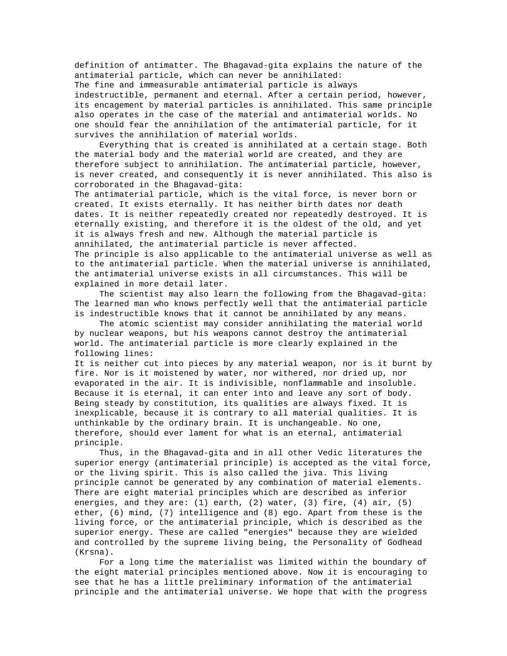definition of antimatter. The Bhagavad-gita explains the nature of the antimaterial particle, which can never be annihilated: The fine and immeasurable antimaterial particle is always indestructible, permanent and eternal. After a certain period, however, its encagement by material particles is annihilated. This same principle also operates in the case of the material and antimaterial worlds. No one should fear the annihilation of the antimaterial particle, for it survives the annihilation of material worlds.

 Everything that is created is annihilated at a certain stage. Both the material body and the material world are created, and they are therefore subject to annihilation. The antimaterial particle, however, is never created, and consequently it is never annihilated. This also is corroborated in the Bhagavad-gita:

The antimaterial particle, which is the vital force, is never born or created. It exists eternally. It has neither birth dates nor death dates. It is neither repeatedly created nor repeatedly destroyed. It is eternally existing, and therefore it is the oldest of the old, and yet it is always fresh and new. Although the material particle is annihilated, the antimaterial particle is never affected. The principle is also applicable to the antimaterial universe as well as to the antimaterial particle. When the material universe is annihilated, the antimaterial universe exists in all circumstances. This will be explained in more detail later.

 The scientist may also learn the following from the Bhagavad-gita: The learned man who knows perfectly well that the antimaterial particle is indestructible knows that it cannot be annihilated by any means.

 The atomic scientist may consider annihilating the material world by nuclear weapons, but his weapons cannot destroy the antimaterial world. The antimaterial particle is more clearly explained in the following lines:

It is neither cut into pieces by any material weapon, nor is it burnt by fire. Nor is it moistened by water, nor withered, nor dried up, nor evaporated in the air. It is indivisible, nonflammable and insoluble. Because it is eternal, it can enter into and leave any sort of body. Being steady by constitution, its qualities are always fixed. It is inexplicable, because it is contrary to all material qualities. It is unthinkable by the ordinary brain. It is unchangeable. No one, therefore, should ever lament for what is an eternal, antimaterial principle.

 Thus, in the Bhagavad-gita and in all other Vedic literatures the superior energy (antimaterial principle) is accepted as the vital force, or the living spirit. This is also called the jiva. This living principle cannot be generated by any combination of material elements. There are eight material principles which are described as inferior energies, and they are: (1) earth, (2) water, (3) fire, (4) air, (5) ether, (6) mind, (7) intelligence and (8) ego. Apart from these is the living force, or the antimaterial principle, which is described as the superior energy. These are called "energies" because they are wielded and controlled by the supreme living being, the Personality of Godhead (Krsna).

 For a long time the materialist was limited within the boundary of the eight material principles mentioned above. Now it is encouraging to see that he has a little preliminary information of the antimaterial principle and the antimaterial universe. We hope that with the progress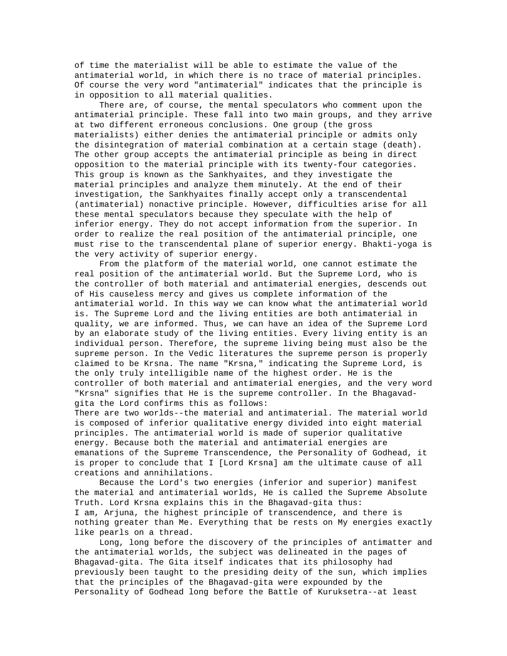of time the materialist will be able to estimate the value of the antimaterial world, in which there is no trace of material principles. Of course the very word "antimaterial" indicates that the principle is in opposition to all material qualities.

 There are, of course, the mental speculators who comment upon the antimaterial principle. These fall into two main groups, and they arrive at two different erroneous conclusions. One group (the gross materialists) either denies the antimaterial principle or admits only the disintegration of material combination at a certain stage (death). The other group accepts the antimaterial principle as being in direct opposition to the material principle with its twenty-four categories. This group is known as the Sankhyaites, and they investigate the material principles and analyze them minutely. At the end of their investigation, the Sankhyaites finally accept only a transcendental (antimaterial) nonactive principle. However, difficulties arise for all these mental speculators because they speculate with the help of inferior energy. They do not accept information from the superior. In order to realize the real position of the antimaterial principle, one must rise to the transcendental plane of superior energy. Bhakti-yoga is the very activity of superior energy.

 From the platform of the material world, one cannot estimate the real position of the antimaterial world. But the Supreme Lord, who is the controller of both material and antimaterial energies, descends out of His causeless mercy and gives us complete information of the antimaterial world. In this way we can know what the antimaterial world is. The Supreme Lord and the living entities are both antimaterial in quality, we are informed. Thus, we can have an idea of the Supreme Lord by an elaborate study of the living entities. Every living entity is an individual person. Therefore, the supreme living being must also be the supreme person. In the Vedic literatures the supreme person is properly claimed to be Krsna. The name "Krsna," indicating the Supreme Lord, is the only truly intelligible name of the highest order. He is the controller of both material and antimaterial energies, and the very word "Krsna" signifies that He is the supreme controller. In the Bhagavadgita the Lord confirms this as follows:

There are two worlds--the material and antimaterial. The material world is composed of inferior qualitative energy divided into eight material principles. The antimaterial world is made of superior qualitative energy. Because both the material and antimaterial energies are emanations of the Supreme Transcendence, the Personality of Godhead, it is proper to conclude that I [Lord Krsna] am the ultimate cause of all creations and annihilations.

 Because the Lord's two energies (inferior and superior) manifest the material and antimaterial worlds, He is called the Supreme Absolute Truth. Lord Krsna explains this in the Bhagavad-gita thus: I am, Arjuna, the highest principle of transcendence, and there is nothing greater than Me. Everything that be rests on My energies exactly like pearls on a thread.

 Long, long before the discovery of the principles of antimatter and the antimaterial worlds, the subject was delineated in the pages of Bhagavad-gita. The Gita itself indicates that its philosophy had previously been taught to the presiding deity of the sun, which implies that the principles of the Bhagavad-gita were expounded by the Personality of Godhead long before the Battle of Kuruksetra--at least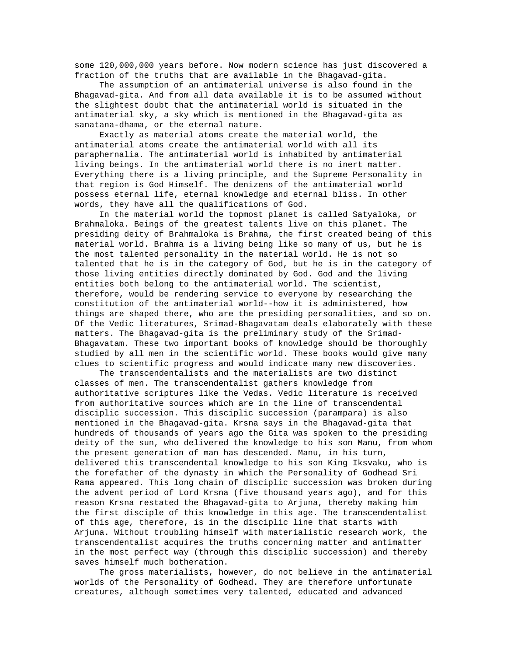some 120,000,000 years before. Now modern science has just discovered a fraction of the truths that are available in the Bhagavad-gita.

 The assumption of an antimaterial universe is also found in the Bhagavad-gita. And from all data available it is to be assumed without the slightest doubt that the antimaterial world is situated in the antimaterial sky, a sky which is mentioned in the Bhagavad-gita as sanatana-dhama, or the eternal nature.

 Exactly as material atoms create the material world, the antimaterial atoms create the antimaterial world with all its paraphernalia. The antimaterial world is inhabited by antimaterial living beings. In the antimaterial world there is no inert matter. Everything there is a living principle, and the Supreme Personality in that region is God Himself. The denizens of the antimaterial world possess eternal life, eternal knowledge and eternal bliss. In other words, they have all the qualifications of God.

 In the material world the topmost planet is called Satyaloka, or Brahmaloka. Beings of the greatest talents live on this planet. The presiding deity of Brahmaloka is Brahma, the first created being of this material world. Brahma is a living being like so many of us, but he is the most talented personality in the material world. He is not so talented that he is in the category of God, but he is in the category of those living entities directly dominated by God. God and the living entities both belong to the antimaterial world. The scientist, therefore, would be rendering service to everyone by researching the constitution of the antimaterial world--how it is administered, how things are shaped there, who are the presiding personalities, and so on. Of the Vedic literatures, Srimad-Bhagavatam deals elaborately with these matters. The Bhagavad-gita is the preliminary study of the Srimad-Bhagavatam. These two important books of knowledge should be thoroughly studied by all men in the scientific world. These books would give many clues to scientific progress and would indicate many new discoveries.

 The transcendentalists and the materialists are two distinct classes of men. The transcendentalist gathers knowledge from authoritative scriptures like the Vedas. Vedic literature is received from authoritative sources which are in the line of transcendental disciplic succession. This disciplic succession (parampara) is also mentioned in the Bhagavad-gita. Krsna says in the Bhagavad-gita that hundreds of thousands of years ago the Gita was spoken to the presiding deity of the sun, who delivered the knowledge to his son Manu, from whom the present generation of man has descended. Manu, in his turn, delivered this transcendental knowledge to his son King Iksvaku, who is the forefather of the dynasty in which the Personality of Godhead Sri Rama appeared. This long chain of disciplic succession was broken during the advent period of Lord Krsna (five thousand years ago), and for this reason Krsna restated the Bhagavad-gita to Arjuna, thereby making him the first disciple of this knowledge in this age. The transcendentalist of this age, therefore, is in the disciplic line that starts with Arjuna. Without troubling himself with materialistic research work, the transcendentalist acquires the truths concerning matter and antimatter in the most perfect way (through this disciplic succession) and thereby saves himself much botheration.

 The gross materialists, however, do not believe in the antimaterial worlds of the Personality of Godhead. They are therefore unfortunate creatures, although sometimes very talented, educated and advanced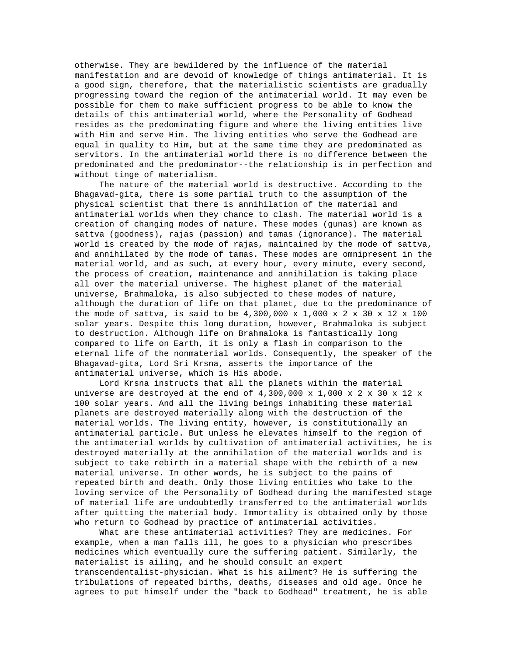otherwise. They are bewildered by the influence of the material manifestation and are devoid of knowledge of things antimaterial. It is a good sign, therefore, that the materialistic scientists are gradually progressing toward the region of the antimaterial world. It may even be possible for them to make sufficient progress to be able to know the details of this antimaterial world, where the Personality of Godhead resides as the predominating figure and where the living entities live with Him and serve Him. The living entities who serve the Godhead are equal in quality to Him, but at the same time they are predominated as servitors. In the antimaterial world there is no difference between the predominated and the predominator--the relationship is in perfection and without tinge of materialism.

 The nature of the material world is destructive. According to the Bhagavad-gita, there is some partial truth to the assumption of the physical scientist that there is annihilation of the material and antimaterial worlds when they chance to clash. The material world is a creation of changing modes of nature. These modes (gunas) are known as sattva (goodness), rajas (passion) and tamas (ignorance). The material world is created by the mode of rajas, maintained by the mode of sattva, and annihilated by the mode of tamas. These modes are omnipresent in the material world, and as such, at every hour, every minute, every second, the process of creation, maintenance and annihilation is taking place all over the material universe. The highest planet of the material universe, Brahmaloka, is also subjected to these modes of nature, although the duration of life on that planet, due to the predominance of the mode of sattva, is said to be  $4,300,000 \times 1,000 \times 2 \times 30 \times 12 \times 100$ solar years. Despite this long duration, however, Brahmaloka is subject to destruction. Although life on Brahmaloka is fantastically long compared to life on Earth, it is only a flash in comparison to the eternal life of the nonmaterial worlds. Consequently, the speaker of the Bhagavad-gita, Lord Sri Krsna, asserts the importance of the antimaterial universe, which is His abode.

 Lord Krsna instructs that all the planets within the material universe are destroyed at the end of  $4,300,000 \times 1,000 \times 2 \times 30 \times 12 \times$ 100 solar years. And all the living beings inhabiting these material planets are destroyed materially along with the destruction of the material worlds. The living entity, however, is constitutionally an antimaterial particle. But unless he elevates himself to the region of the antimaterial worlds by cultivation of antimaterial activities, he is destroyed materially at the annihilation of the material worlds and is subject to take rebirth in a material shape with the rebirth of a new material universe. In other words, he is subject to the pains of repeated birth and death. Only those living entities who take to the loving service of the Personality of Godhead during the manifested stage of material life are undoubtedly transferred to the antimaterial worlds after quitting the material body. Immortality is obtained only by those who return to Godhead by practice of antimaterial activities.

 What are these antimaterial activities? They are medicines. For example, when a man falls ill, he goes to a physician who prescribes medicines which eventually cure the suffering patient. Similarly, the materialist is ailing, and he should consult an expert transcendentalist-physician. What is his ailment? He is suffering the tribulations of repeated births, deaths, diseases and old age. Once he agrees to put himself under the "back to Godhead" treatment, he is able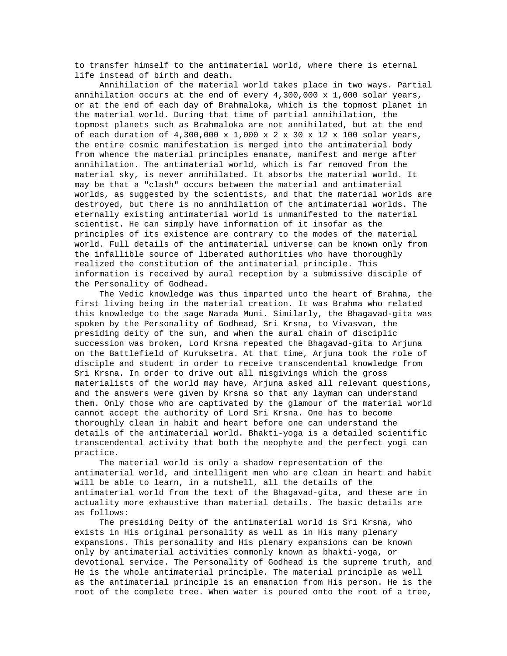to transfer himself to the antimaterial world, where there is eternal life instead of birth and death.

 Annihilation of the material world takes place in two ways. Partial annihilation occurs at the end of every 4,300,000 x 1,000 solar years, or at the end of each day of Brahmaloka, which is the topmost planet in the material world. During that time of partial annihilation, the topmost planets such as Brahmaloka are not annihilated, but at the end of each duration of  $4,300,000 \times 1,000 \times 2 \times 30 \times 12 \times 100$  solar years, the entire cosmic manifestation is merged into the antimaterial body from whence the material principles emanate, manifest and merge after annihilation. The antimaterial world, which is far removed from the material sky, is never annihilated. It absorbs the material world. It may be that a "clash" occurs between the material and antimaterial worlds, as suggested by the scientists, and that the material worlds are destroyed, but there is no annihilation of the antimaterial worlds. The eternally existing antimaterial world is unmanifested to the material scientist. He can simply have information of it insofar as the principles of its existence are contrary to the modes of the material world. Full details of the antimaterial universe can be known only from the infallible source of liberated authorities who have thoroughly realized the constitution of the antimaterial principle. This information is received by aural reception by a submissive disciple of the Personality of Godhead.

 The Vedic knowledge was thus imparted unto the heart of Brahma, the first living being in the material creation. It was Brahma who related this knowledge to the sage Narada Muni. Similarly, the Bhagavad-gita was spoken by the Personality of Godhead, Sri Krsna, to Vivasvan, the presiding deity of the sun, and when the aural chain of disciplic succession was broken, Lord Krsna repeated the Bhagavad-gita to Arjuna on the Battlefield of Kuruksetra. At that time, Arjuna took the role of disciple and student in order to receive transcendental knowledge from Sri Krsna. In order to drive out all misgivings which the gross materialists of the world may have, Arjuna asked all relevant questions, and the answers were given by Krsna so that any layman can understand them. Only those who are captivated by the glamour of the material world cannot accept the authority of Lord Sri Krsna. One has to become thoroughly clean in habit and heart before one can understand the details of the antimaterial world. Bhakti-yoga is a detailed scientific transcendental activity that both the neophyte and the perfect yogi can practice.

 The material world is only a shadow representation of the antimaterial world, and intelligent men who are clean in heart and habit will be able to learn, in a nutshell, all the details of the antimaterial world from the text of the Bhagavad-gita, and these are in actuality more exhaustive than material details. The basic details are as follows:

 The presiding Deity of the antimaterial world is Sri Krsna, who exists in His original personality as well as in His many plenary expansions. This personality and His plenary expansions can be known only by antimaterial activities commonly known as bhakti-yoga, or devotional service. The Personality of Godhead is the supreme truth, and He is the whole antimaterial principle. The material principle as well as the antimaterial principle is an emanation from His person. He is the root of the complete tree. When water is poured onto the root of a tree,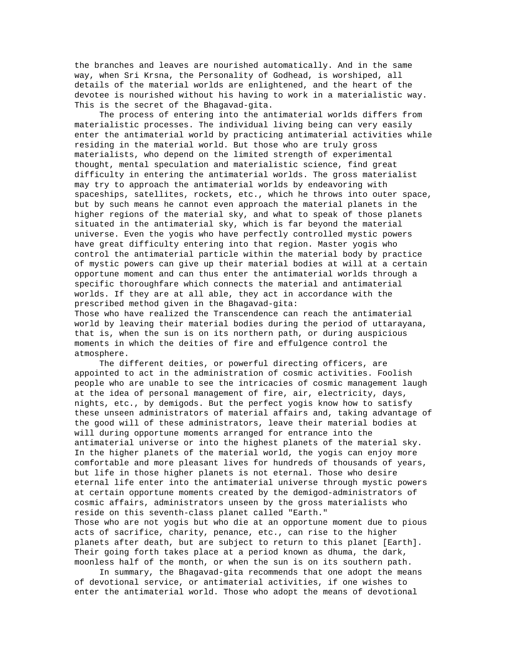the branches and leaves are nourished automatically. And in the same way, when Sri Krsna, the Personality of Godhead, is worshiped, all details of the material worlds are enlightened, and the heart of the devotee is nourished without his having to work in a materialistic way. This is the secret of the Bhagavad-gita.

 The process of entering into the antimaterial worlds differs from materialistic processes. The individual living being can very easily enter the antimaterial world by practicing antimaterial activities while residing in the material world. But those who are truly gross materialists, who depend on the limited strength of experimental thought, mental speculation and materialistic science, find great difficulty in entering the antimaterial worlds. The gross materialist may try to approach the antimaterial worlds by endeavoring with spaceships, satellites, rockets, etc., which he throws into outer space, but by such means he cannot even approach the material planets in the higher regions of the material sky, and what to speak of those planets situated in the antimaterial sky, which is far beyond the material universe. Even the yogis who have perfectly controlled mystic powers have great difficulty entering into that region. Master yogis who control the antimaterial particle within the material body by practice of mystic powers can give up their material bodies at will at a certain opportune moment and can thus enter the antimaterial worlds through a specific thoroughfare which connects the material and antimaterial worlds. If they are at all able, they act in accordance with the prescribed method given in the Bhagavad-gita: Those who have realized the Transcendence can reach the antimaterial world by leaving their material bodies during the period of uttarayana,

that is, when the sun is on its northern path, or during auspicious moments in which the deities of fire and effulgence control the atmosphere.

 The different deities, or powerful directing officers, are appointed to act in the administration of cosmic activities. Foolish people who are unable to see the intricacies of cosmic management laugh at the idea of personal management of fire, air, electricity, days, nights, etc., by demigods. But the perfect yogis know how to satisfy these unseen administrators of material affairs and, taking advantage of the good will of these administrators, leave their material bodies at will during opportune moments arranged for entrance into the antimaterial universe or into the highest planets of the material sky. In the higher planets of the material world, the yogis can enjoy more comfortable and more pleasant lives for hundreds of thousands of years, but life in those higher planets is not eternal. Those who desire eternal life enter into the antimaterial universe through mystic powers at certain opportune moments created by the demigod-administrators of cosmic affairs, administrators unseen by the gross materialists who reside on this seventh-class planet called "Earth." Those who are not yogis but who die at an opportune moment due to pious acts of sacrifice, charity, penance, etc., can rise to the higher planets after death, but are subject to return to this planet [Earth]. Their going forth takes place at a period known as dhuma, the dark, moonless half of the month, or when the sun is on its southern path.

 In summary, the Bhagavad-gita recommends that one adopt the means of devotional service, or antimaterial activities, if one wishes to enter the antimaterial world. Those who adopt the means of devotional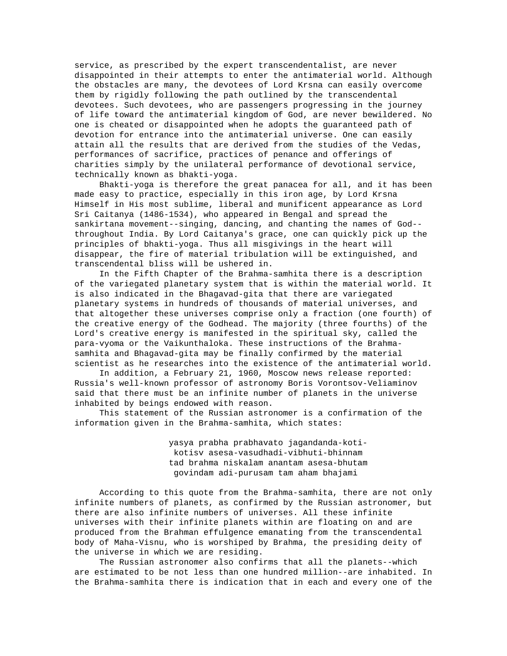service, as prescribed by the expert transcendentalist, are never disappointed in their attempts to enter the antimaterial world. Although the obstacles are many, the devotees of Lord Krsna can easily overcome them by rigidly following the path outlined by the transcendental devotees. Such devotees, who are passengers progressing in the journey of life toward the antimaterial kingdom of God, are never bewildered. No one is cheated or disappointed when he adopts the guaranteed path of devotion for entrance into the antimaterial universe. One can easily attain all the results that are derived from the studies of the Vedas, performances of sacrifice, practices of penance and offerings of charities simply by the unilateral performance of devotional service, technically known as bhakti-yoga.

 Bhakti-yoga is therefore the great panacea for all, and it has been made easy to practice, especially in this iron age, by Lord Krsna Himself in His most sublime, liberal and munificent appearance as Lord Sri Caitanya (1486-1534), who appeared in Bengal and spread the sankirtana movement--singing, dancing, and chanting the names of God- throughout India. By Lord Caitanya's grace, one can quickly pick up the principles of bhakti-yoga. Thus all misgivings in the heart will disappear, the fire of material tribulation will be extinguished, and transcendental bliss will be ushered in.

 In the Fifth Chapter of the Brahma-samhita there is a description of the variegated planetary system that is within the material world. It is also indicated in the Bhagavad-gita that there are variegated planetary systems in hundreds of thousands of material universes, and that altogether these universes comprise only a fraction (one fourth) of the creative energy of the Godhead. The majority (three fourths) of the Lord's creative energy is manifested in the spiritual sky, called the para-vyoma or the Vaikunthaloka. These instructions of the Brahmasamhita and Bhagavad-gita may be finally confirmed by the material scientist as he researches into the existence of the antimaterial world.

 In addition, a February 21, 1960, Moscow news release reported: Russia's well-known professor of astronomy Boris Vorontsov-Veliaminov said that there must be an infinite number of planets in the universe inhabited by beings endowed with reason.

 This statement of the Russian astronomer is a confirmation of the information given in the Brahma-samhita, which states:

> yasya prabha prabhavato jagandanda-koti kotisv asesa-vasudhadi-vibhuti-bhinnam tad brahma niskalam anantam asesa-bhutam govindam adi-purusam tam aham bhajami

 According to this quote from the Brahma-samhita, there are not only infinite numbers of planets, as confirmed by the Russian astronomer, but there are also infinite numbers of universes. All these infinite universes with their infinite planets within are floating on and are produced from the Brahman effulgence emanating from the transcendental body of Maha-Visnu, who is worshiped by Brahma, the presiding deity of the universe in which we are residing.

 The Russian astronomer also confirms that all the planets--which are estimated to be not less than one hundred million--are inhabited. In the Brahma-samhita there is indication that in each and every one of the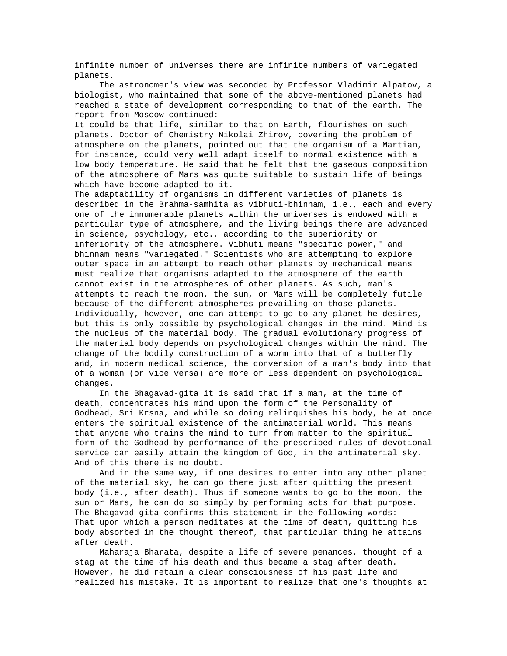infinite number of universes there are infinite numbers of variegated planets.

 The astronomer's view was seconded by Professor Vladimir Alpatov, a biologist, who maintained that some of the above-mentioned planets had reached a state of development corresponding to that of the earth. The report from Moscow continued:

It could be that life, similar to that on Earth, flourishes on such planets. Doctor of Chemistry Nikolai Zhirov, covering the problem of atmosphere on the planets, pointed out that the organism of a Martian, for instance, could very well adapt itself to normal existence with a low body temperature. He said that he felt that the gaseous composition of the atmosphere of Mars was quite suitable to sustain life of beings which have become adapted to it.

The adaptability of organisms in different varieties of planets is described in the Brahma-samhita as vibhuti-bhinnam, i.e., each and every one of the innumerable planets within the universes is endowed with a particular type of atmosphere, and the living beings there are advanced in science, psychology, etc., according to the superiority or inferiority of the atmosphere. Vibhuti means "specific power," and bhinnam means "variegated." Scientists who are attempting to explore outer space in an attempt to reach other planets by mechanical means must realize that organisms adapted to the atmosphere of the earth cannot exist in the atmospheres of other planets. As such, man's attempts to reach the moon, the sun, or Mars will be completely futile because of the different atmospheres prevailing on those planets. Individually, however, one can attempt to go to any planet he desires, but this is only possible by psychological changes in the mind. Mind is the nucleus of the material body. The gradual evolutionary progress of the material body depends on psychological changes within the mind. The change of the bodily construction of a worm into that of a butterfly and, in modern medical science, the conversion of a man's body into that of a woman (or vice versa) are more or less dependent on psychological changes.

 In the Bhagavad-gita it is said that if a man, at the time of death, concentrates his mind upon the form of the Personality of Godhead, Sri Krsna, and while so doing relinquishes his body, he at once enters the spiritual existence of the antimaterial world. This means that anyone who trains the mind to turn from matter to the spiritual form of the Godhead by performance of the prescribed rules of devotional service can easily attain the kingdom of God, in the antimaterial sky. And of this there is no doubt.

 And in the same way, if one desires to enter into any other planet of the material sky, he can go there just after quitting the present body (i.e., after death). Thus if someone wants to go to the moon, the sun or Mars, he can do so simply by performing acts for that purpose. The Bhagavad-gita confirms this statement in the following words: That upon which a person meditates at the time of death, quitting his body absorbed in the thought thereof, that particular thing he attains after death.

 Maharaja Bharata, despite a life of severe penances, thought of a stag at the time of his death and thus became a stag after death. However, he did retain a clear consciousness of his past life and realized his mistake. It is important to realize that one's thoughts at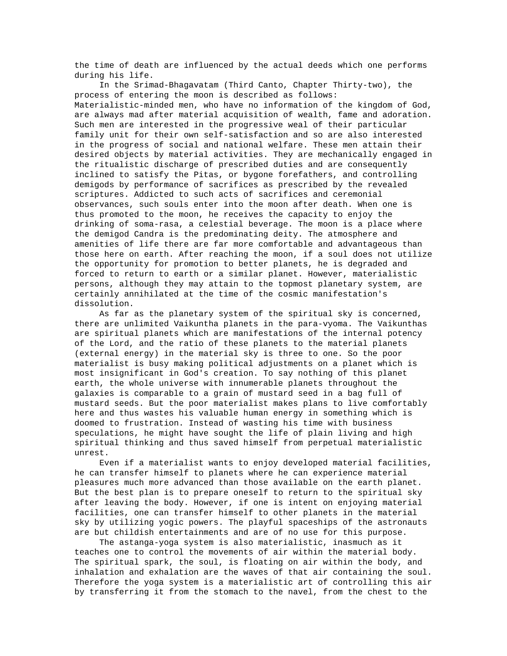the time of death are influenced by the actual deeds which one performs during his life.

 In the Srimad-Bhagavatam (Third Canto, Chapter Thirty-two), the process of entering the moon is described as follows: Materialistic-minded men, who have no information of the kingdom of God, are always mad after material acquisition of wealth, fame and adoration. Such men are interested in the progressive weal of their particular family unit for their own self-satisfaction and so are also interested in the progress of social and national welfare. These men attain their desired objects by material activities. They are mechanically engaged in the ritualistic discharge of prescribed duties and are consequently inclined to satisfy the Pitas, or bygone forefathers, and controlling demigods by performance of sacrifices as prescribed by the revealed scriptures. Addicted to such acts of sacrifices and ceremonial observances, such souls enter into the moon after death. When one is thus promoted to the moon, he receives the capacity to enjoy the drinking of soma-rasa, a celestial beverage. The moon is a place where the demigod Candra is the predominating deity. The atmosphere and amenities of life there are far more comfortable and advantageous than those here on earth. After reaching the moon, if a soul does not utilize the opportunity for promotion to better planets, he is degraded and forced to return to earth or a similar planet. However, materialistic persons, although they may attain to the topmost planetary system, are certainly annihilated at the time of the cosmic manifestation's dissolution.

 As far as the planetary system of the spiritual sky is concerned, there are unlimited Vaikuntha planets in the para-vyoma. The Vaikunthas are spiritual planets which are manifestations of the internal potency of the Lord, and the ratio of these planets to the material planets (external energy) in the material sky is three to one. So the poor materialist is busy making political adjustments on a planet which is most insignificant in God's creation. To say nothing of this planet earth, the whole universe with innumerable planets throughout the galaxies is comparable to a grain of mustard seed in a bag full of mustard seeds. But the poor materialist makes plans to live comfortably here and thus wastes his valuable human energy in something which is doomed to frustration. Instead of wasting his time with business speculations, he might have sought the life of plain living and high spiritual thinking and thus saved himself from perpetual materialistic unrest.

 Even if a materialist wants to enjoy developed material facilities, he can transfer himself to planets where he can experience material pleasures much more advanced than those available on the earth planet. But the best plan is to prepare oneself to return to the spiritual sky after leaving the body. However, if one is intent on enjoying material facilities, one can transfer himself to other planets in the material sky by utilizing yogic powers. The playful spaceships of the astronauts are but childish entertainments and are of no use for this purpose.

 The astanga-yoga system is also materialistic, inasmuch as it teaches one to control the movements of air within the material body. The spiritual spark, the soul, is floating on air within the body, and inhalation and exhalation are the waves of that air containing the soul. Therefore the yoga system is a materialistic art of controlling this air by transferring it from the stomach to the navel, from the chest to the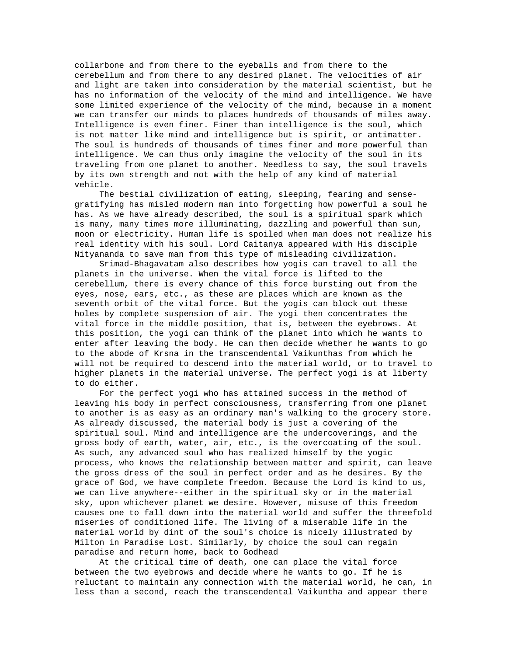collarbone and from there to the eyeballs and from there to the cerebellum and from there to any desired planet. The velocities of air and light are taken into consideration by the material scientist, but he has no information of the velocity of the mind and intelligence. We have some limited experience of the velocity of the mind, because in a moment we can transfer our minds to places hundreds of thousands of miles away. Intelligence is even finer. Finer than intelligence is the soul, which is not matter like mind and intelligence but is spirit, or antimatter. The soul is hundreds of thousands of times finer and more powerful than intelligence. We can thus only imagine the velocity of the soul in its traveling from one planet to another. Needless to say, the soul travels by its own strength and not with the help of any kind of material vehicle.

 The bestial civilization of eating, sleeping, fearing and sensegratifying has misled modern man into forgetting how powerful a soul he has. As we have already described, the soul is a spiritual spark which is many, many times more illuminating, dazzling and powerful than sun, moon or electricity. Human life is spoiled when man does not realize his real identity with his soul. Lord Caitanya appeared with His disciple Nityananda to save man from this type of misleading civilization.

 Srimad-Bhagavatam also describes how yogis can travel to all the planets in the universe. When the vital force is lifted to the cerebellum, there is every chance of this force bursting out from the eyes, nose, ears, etc., as these are places which are known as the seventh orbit of the vital force. But the yogis can block out these holes by complete suspension of air. The yogi then concentrates the vital force in the middle position, that is, between the eyebrows. At this position, the yogi can think of the planet into which he wants to enter after leaving the body. He can then decide whether he wants to go to the abode of Krsna in the transcendental Vaikunthas from which he will not be required to descend into the material world, or to travel to higher planets in the material universe. The perfect yogi is at liberty to do either.

 For the perfect yogi who has attained success in the method of leaving his body in perfect consciousness, transferring from one planet to another is as easy as an ordinary man's walking to the grocery store. As already discussed, the material body is just a covering of the spiritual soul. Mind and intelligence are the undercoverings, and the gross body of earth, water, air, etc., is the overcoating of the soul. As such, any advanced soul who has realized himself by the yogic process, who knows the relationship between matter and spirit, can leave the gross dress of the soul in perfect order and as he desires. By the grace of God, we have complete freedom. Because the Lord is kind to us, we can live anywhere--either in the spiritual sky or in the material sky, upon whichever planet we desire. However, misuse of this freedom causes one to fall down into the material world and suffer the threefold miseries of conditioned life. The living of a miserable life in the material world by dint of the soul's choice is nicely illustrated by Milton in Paradise Lost. Similarly, by choice the soul can regain paradise and return home, back to Godhead

 At the critical time of death, one can place the vital force between the two eyebrows and decide where he wants to go. If he is reluctant to maintain any connection with the material world, he can, in less than a second, reach the transcendental Vaikuntha and appear there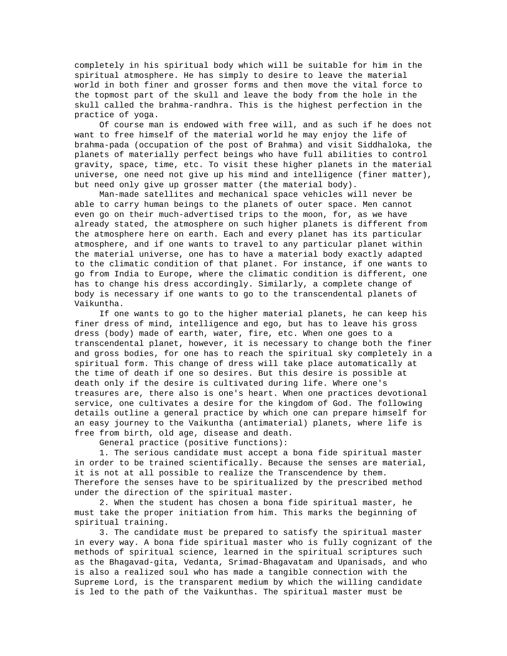completely in his spiritual body which will be suitable for him in the spiritual atmosphere. He has simply to desire to leave the material world in both finer and grosser forms and then move the vital force to the topmost part of the skull and leave the body from the hole in the skull called the brahma-randhra. This is the highest perfection in the practice of yoga.

 Of course man is endowed with free will, and as such if he does not want to free himself of the material world he may enjoy the life of brahma-pada (occupation of the post of Brahma) and visit Siddhaloka, the planets of materially perfect beings who have full abilities to control gravity, space, time, etc. To visit these higher planets in the material universe, one need not give up his mind and intelligence (finer matter), but need only give up grosser matter (the material body).

 Man-made satellites and mechanical space vehicles will never be able to carry human beings to the planets of outer space. Men cannot even go on their much-advertised trips to the moon, for, as we have already stated, the atmosphere on such higher planets is different from the atmosphere here on earth. Each and every planet has its particular atmosphere, and if one wants to travel to any particular planet within the material universe, one has to have a material body exactly adapted to the climatic condition of that planet. For instance, if one wants to go from India to Europe, where the climatic condition is different, one has to change his dress accordingly. Similarly, a complete change of body is necessary if one wants to go to the transcendental planets of Vaikuntha.

 If one wants to go to the higher material planets, he can keep his finer dress of mind, intelligence and ego, but has to leave his gross dress (body) made of earth, water, fire, etc. When one goes to a transcendental planet, however, it is necessary to change both the finer and gross bodies, for one has to reach the spiritual sky completely in a spiritual form. This change of dress will take place automatically at the time of death if one so desires. But this desire is possible at death only if the desire is cultivated during life. Where one's treasures are, there also is one's heart. When one practices devotional service, one cultivates a desire for the kingdom of God. The following details outline a general practice by which one can prepare himself for an easy journey to the Vaikuntha (antimaterial) planets, where life is free from birth, old age, disease and death.

General practice (positive functions):

 1. The serious candidate must accept a bona fide spiritual master in order to be trained scientifically. Because the senses are material, it is not at all possible to realize the Transcendence by them. Therefore the senses have to be spiritualized by the prescribed method under the direction of the spiritual master.

 2. When the student has chosen a bona fide spiritual master, he must take the proper initiation from him. This marks the beginning of spiritual training.

 3. The candidate must be prepared to satisfy the spiritual master in every way. A bona fide spiritual master who is fully cognizant of the methods of spiritual science, learned in the spiritual scriptures such as the Bhagavad-gita, Vedanta, Srimad-Bhagavatam and Upanisads, and who is also a realized soul who has made a tangible connection with the Supreme Lord, is the transparent medium by which the willing candidate is led to the path of the Vaikunthas. The spiritual master must be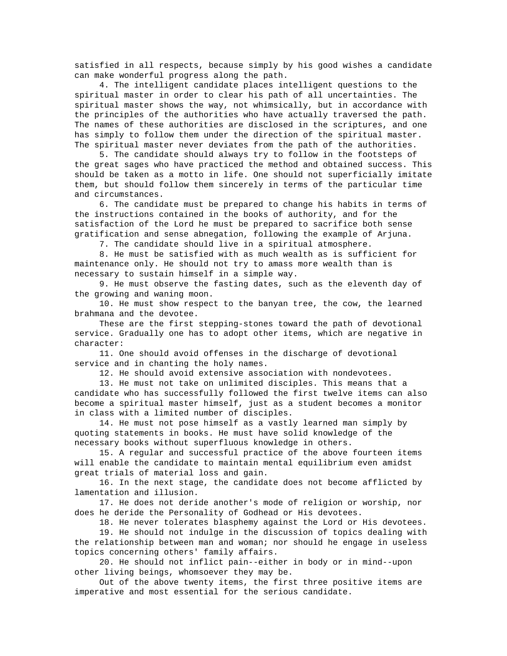satisfied in all respects, because simply by his good wishes a candidate can make wonderful progress along the path.

 4. The intelligent candidate places intelligent questions to the spiritual master in order to clear his path of all uncertainties. The spiritual master shows the way, not whimsically, but in accordance with the principles of the authorities who have actually traversed the path. The names of these authorities are disclosed in the scriptures, and one has simply to follow them under the direction of the spiritual master. The spiritual master never deviates from the path of the authorities.

 5. The candidate should always try to follow in the footsteps of the great sages who have practiced the method and obtained success. This should be taken as a motto in life. One should not superficially imitate them, but should follow them sincerely in terms of the particular time and circumstances.

 6. The candidate must be prepared to change his habits in terms of the instructions contained in the books of authority, and for the satisfaction of the Lord he must be prepared to sacrifice both sense gratification and sense abnegation, following the example of Arjuna.

7. The candidate should live in a spiritual atmosphere.

 8. He must be satisfied with as much wealth as is sufficient for maintenance only. He should not try to amass more wealth than is necessary to sustain himself in a simple way.

 9. He must observe the fasting dates, such as the eleventh day of the growing and waning moon.

 10. He must show respect to the banyan tree, the cow, the learned brahmana and the devotee.

 These are the first stepping-stones toward the path of devotional service. Gradually one has to adopt other items, which are negative in character:

 11. One should avoid offenses in the discharge of devotional service and in chanting the holy names.

12. He should avoid extensive association with nondevotees.

 13. He must not take on unlimited disciples. This means that a candidate who has successfully followed the first twelve items can also become a spiritual master himself, just as a student becomes a monitor in class with a limited number of disciples.

 14. He must not pose himself as a vastly learned man simply by quoting statements in books. He must have solid knowledge of the necessary books without superfluous knowledge in others.

 15. A regular and successful practice of the above fourteen items will enable the candidate to maintain mental equilibrium even amidst great trials of material loss and gain.

 16. In the next stage, the candidate does not become afflicted by lamentation and illusion.

 17. He does not deride another's mode of religion or worship, nor does he deride the Personality of Godhead or His devotees.

18. He never tolerates blasphemy against the Lord or His devotees.

 19. He should not indulge in the discussion of topics dealing with the relationship between man and woman; nor should he engage in useless topics concerning others' family affairs.

 20. He should not inflict pain--either in body or in mind--upon other living beings, whomsoever they may be.

 Out of the above twenty items, the first three positive items are imperative and most essential for the serious candidate.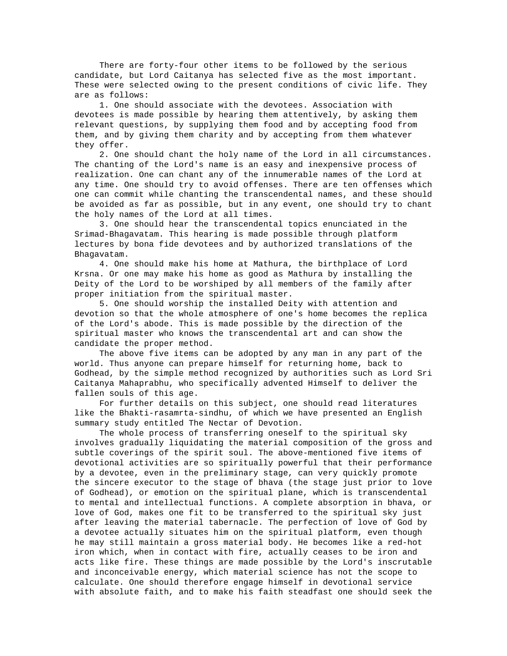There are forty-four other items to be followed by the serious candidate, but Lord Caitanya has selected five as the most important. These were selected owing to the present conditions of civic life. They are as follows:

 1. One should associate with the devotees. Association with devotees is made possible by hearing them attentively, by asking them relevant questions, by supplying them food and by accepting food from them, and by giving them charity and by accepting from them whatever they offer.

 2. One should chant the holy name of the Lord in all circumstances. The chanting of the Lord's name is an easy and inexpensive process of realization. One can chant any of the innumerable names of the Lord at any time. One should try to avoid offenses. There are ten offenses which one can commit while chanting the transcendental names, and these should be avoided as far as possible, but in any event, one should try to chant the holy names of the Lord at all times.

 3. One should hear the transcendental topics enunciated in the Srimad-Bhagavatam. This hearing is made possible through platform lectures by bona fide devotees and by authorized translations of the Bhagavatam.

 4. One should make his home at Mathura, the birthplace of Lord Krsna. Or one may make his home as good as Mathura by installing the Deity of the Lord to be worshiped by all members of the family after proper initiation from the spiritual master.

 5. One should worship the installed Deity with attention and devotion so that the whole atmosphere of one's home becomes the replica of the Lord's abode. This is made possible by the direction of the spiritual master who knows the transcendental art and can show the candidate the proper method.

 The above five items can be adopted by any man in any part of the world. Thus anyone can prepare himself for returning home, back to Godhead, by the simple method recognized by authorities such as Lord Sri Caitanya Mahaprabhu, who specifically advented Himself to deliver the fallen souls of this age.

 For further details on this subject, one should read literatures like the Bhakti-rasamrta-sindhu, of which we have presented an English summary study entitled The Nectar of Devotion.

 The whole process of transferring oneself to the spiritual sky involves gradually liquidating the material composition of the gross and subtle coverings of the spirit soul. The above-mentioned five items of devotional activities are so spiritually powerful that their performance by a devotee, even in the preliminary stage, can very quickly promote the sincere executor to the stage of bhava (the stage just prior to love of Godhead), or emotion on the spiritual plane, which is transcendental to mental and intellectual functions. A complete absorption in bhava, or love of God, makes one fit to be transferred to the spiritual sky just after leaving the material tabernacle. The perfection of love of God by a devotee actually situates him on the spiritual platform, even though he may still maintain a gross material body. He becomes like a red-hot iron which, when in contact with fire, actually ceases to be iron and acts like fire. These things are made possible by the Lord's inscrutable and inconceivable energy, which material science has not the scope to calculate. One should therefore engage himself in devotional service with absolute faith, and to make his faith steadfast one should seek the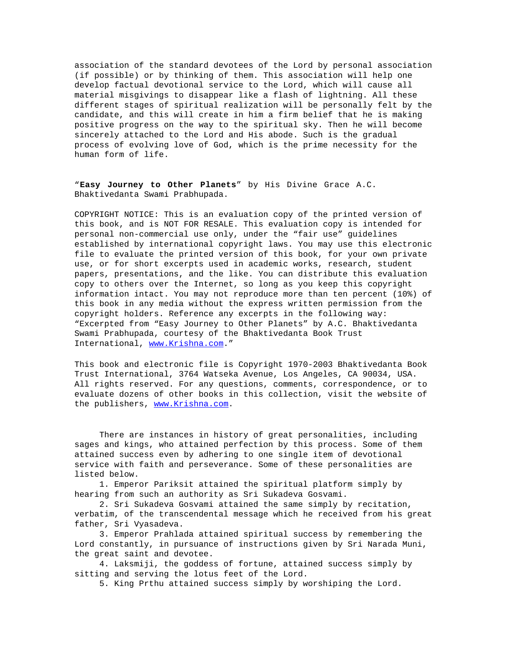association of the standard devotees of the Lord by personal association (if possible) or by thinking of them. This association will help one develop factual devotional service to the Lord, which will cause all material misgivings to disappear like a flash of lightning. All these different stages of spiritual realization will be personally felt by the candidate, and this will create in him a firm belief that he is making positive progress on the way to the spiritual sky. Then he will become sincerely attached to the Lord and His abode. Such is the gradual process of evolving love of God, which is the prime necessity for the human form of life.

"**Easy Journey to Other Planets**" by His Divine Grace A.C. Bhaktivedanta Swami Prabhupada.

COPYRIGHT NOTICE: This is an evaluation copy of the printed version of this book, and is NOT FOR RESALE. This evaluation copy is intended for personal non-commercial use only, under the "fair use" guidelines established by international copyright laws. You may use this electronic file to evaluate the printed version of this book, for your own private use, or for short excerpts used in academic works, research, student papers, presentations, and the like. You can distribute this evaluation copy to others over the Internet, so long as you keep this copyright information intact. You may not reproduce more than ten percent (10%) of this book in any media without the express written permission from the copyright holders. Reference any excerpts in the following way: "Excerpted from "Easy Journey to Other Planets" by A.C. Bhaktivedanta Swami Prabhupada, courtesy of the Bhaktivedanta Book Trust International, www.Krishna.com."

This book and electronic file is Copyright 1970-2003 Bhaktivedanta Book Trust International, 3764 Watseka Avenue, Los Angeles, CA 90034, USA. All rights reserved. For any questions, comments, correspondence, or to evaluate dozens of other books in this collection, visit the website of the publishers, www.Krishna.com.

 There are instances in history of great personalities, including sages and kings, who attained perfection by this process. Some of them attained success even by adhering to one single item of devotional service with faith and perseverance. Some of these personalities are listed below.

 1. Emperor Pariksit attained the spiritual platform simply by hearing from such an authority as Sri Sukadeva Gosvami.

 2. Sri Sukadeva Gosvami attained the same simply by recitation, verbatim, of the transcendental message which he received from his great father, Sri Vyasadeva.

 3. Emperor Prahlada attained spiritual success by remembering the Lord constantly, in pursuance of instructions given by Sri Narada Muni, the great saint and devotee.

 4. Laksmiji, the goddess of fortune, attained success simply by sitting and serving the lotus feet of the Lord.

5. King Prthu attained success simply by worshiping the Lord.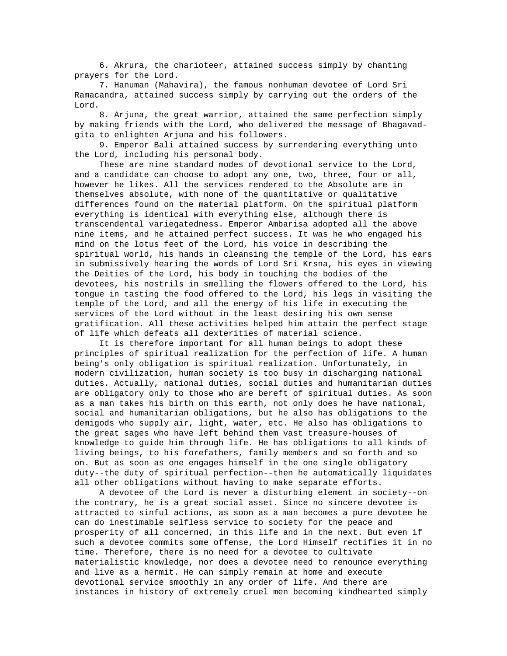6. Akrura, the charioteer, attained success simply by chanting prayers for the Lord.

 7. Hanuman (Mahavira), the famous nonhuman devotee of Lord Sri Ramacandra, attained success simply by carrying out the orders of the Lord.

 8. Arjuna, the great warrior, attained the same perfection simply by making friends with the Lord, who delivered the message of Bhagavadgita to enlighten Arjuna and his followers.

 9. Emperor Bali attained success by surrendering everything unto the Lord, including his personal body.

 These are nine standard modes of devotional service to the Lord, and a candidate can choose to adopt any one, two, three, four or all, however he likes. All the services rendered to the Absolute are in themselves absolute, with none of the quantitative or qualitative differences found on the material platform. On the spiritual platform everything is identical with everything else, although there is transcendental variegatedness. Emperor Ambarisa adopted all the above nine items, and he attained perfect success. It was he who engaged his mind on the lotus feet of the Lord, his voice in describing the spiritual world, his hands in cleansing the temple of the Lord, his ears in submissively hearing the words of Lord Sri Krsna, his eyes in viewing the Deities of the Lord, his body in touching the bodies of the devotees, his nostrils in smelling the flowers offered to the Lord, his tongue in tasting the food offered to the Lord, his legs in visiting the temple of the Lord, and all the energy of his life in executing the services of the Lord without in the least desiring his own sense gratification. All these activities helped him attain the perfect stage of life which defeats all dexterities of material science.

 It is therefore important for all human beings to adopt these principles of spiritual realization for the perfection of life. A human being's only obligation is spiritual realization. Unfortunately, in modern civilization, human society is too busy in discharging national duties. Actually, national duties, social duties and humanitarian duties are obligatory only to those who are bereft of spiritual duties. As soon as a man takes his birth on this earth, not only does he have national, social and humanitarian obligations, but he also has obligations to the demigods who supply air, light, water, etc. He also has obligations to the great sages who have left behind them vast treasure-houses of knowledge to guide him through life. He has obligations to all kinds of living beings, to his forefathers, family members and so forth and so on. But as soon as one engages himself in the one single obligatory duty--the duty of spiritual perfection--then he automatically liquidates all other obligations without having to make separate efforts.

 A devotee of the Lord is never a disturbing element in society--on the contrary, he is a great social asset. Since no sincere devotee is attracted to sinful actions, as soon as a man becomes a pure devotee he can do inestimable selfless service to society for the peace and prosperity of all concerned, in this life and in the next. But even if such a devotee commits some offense, the Lord Himself rectifies it in no time. Therefore, there is no need for a devotee to cultivate materialistic knowledge, nor does a devotee need to renounce everything and live as a hermit. He can simply remain at home and execute devotional service smoothly in any order of life. And there are instances in history of extremely cruel men becoming kindhearted simply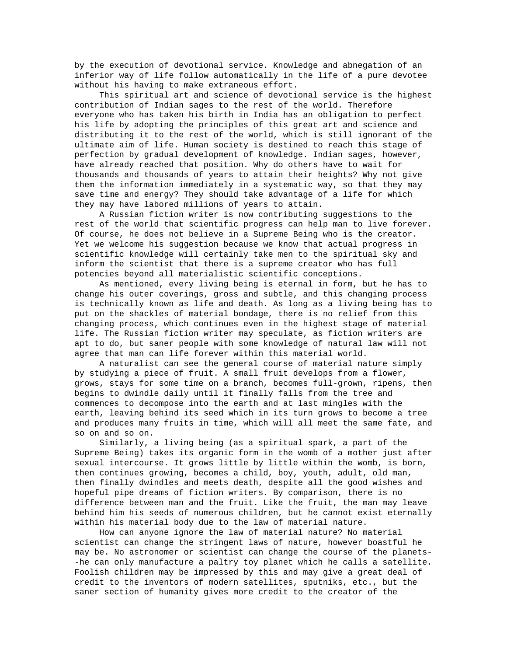by the execution of devotional service. Knowledge and abnegation of an inferior way of life follow automatically in the life of a pure devotee without his having to make extraneous effort.

 This spiritual art and science of devotional service is the highest contribution of Indian sages to the rest of the world. Therefore everyone who has taken his birth in India has an obligation to perfect his life by adopting the principles of this great art and science and distributing it to the rest of the world, which is still ignorant of the ultimate aim of life. Human society is destined to reach this stage of perfection by gradual development of knowledge. Indian sages, however, have already reached that position. Why do others have to wait for thousands and thousands of years to attain their heights? Why not give them the information immediately in a systematic way, so that they may save time and energy? They should take advantage of a life for which they may have labored millions of years to attain.

 A Russian fiction writer is now contributing suggestions to the rest of the world that scientific progress can help man to live forever. Of course, he does not believe in a Supreme Being who is the creator. Yet we welcome his suggestion because we know that actual progress in scientific knowledge will certainly take men to the spiritual sky and inform the scientist that there is a supreme creator who has full potencies beyond all materialistic scientific conceptions.

 As mentioned, every living being is eternal in form, but he has to change his outer coverings, gross and subtle, and this changing process is technically known as life and death. As long as a living being has to put on the shackles of material bondage, there is no relief from this changing process, which continues even in the highest stage of material life. The Russian fiction writer may speculate, as fiction writers are apt to do, but saner people with some knowledge of natural law will not agree that man can life forever within this material world.

 A naturalist can see the general course of material nature simply by studying a piece of fruit. A small fruit develops from a flower, grows, stays for some time on a branch, becomes full-grown, ripens, then begins to dwindle daily until it finally falls from the tree and commences to decompose into the earth and at last mingles with the earth, leaving behind its seed which in its turn grows to become a tree and produces many fruits in time, which will all meet the same fate, and so on and so on.

 Similarly, a living being (as a spiritual spark, a part of the Supreme Being) takes its organic form in the womb of a mother just after sexual intercourse. It grows little by little within the womb, is born, then continues growing, becomes a child, boy, youth, adult, old man, then finally dwindles and meets death, despite all the good wishes and hopeful pipe dreams of fiction writers. By comparison, there is no difference between man and the fruit. Like the fruit, the man may leave behind him his seeds of numerous children, but he cannot exist eternally within his material body due to the law of material nature.

 How can anyone ignore the law of material nature? No material scientist can change the stringent laws of nature, however boastful he may be. No astronomer or scientist can change the course of the planets- -he can only manufacture a paltry toy planet which he calls a satellite. Foolish children may be impressed by this and may give a great deal of credit to the inventors of modern satellites, sputniks, etc., but the saner section of humanity gives more credit to the creator of the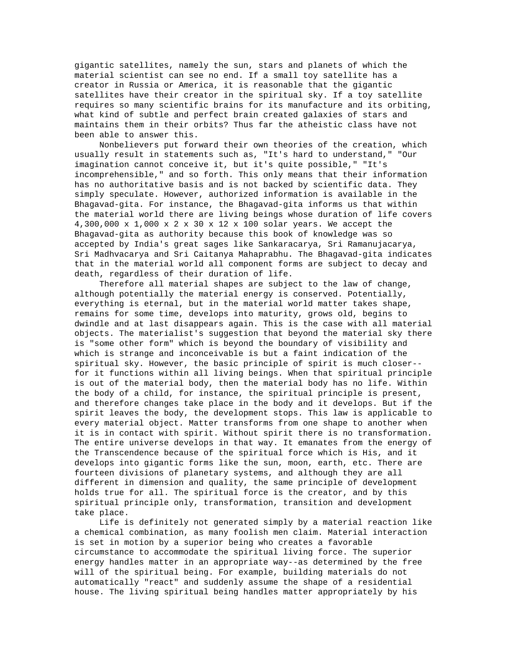gigantic satellites, namely the sun, stars and planets of which the material scientist can see no end. If a small toy satellite has a creator in Russia or America, it is reasonable that the gigantic satellites have their creator in the spiritual sky. If a toy satellite requires so many scientific brains for its manufacture and its orbiting, what kind of subtle and perfect brain created galaxies of stars and maintains them in their orbits? Thus far the atheistic class have not been able to answer this.

 Nonbelievers put forward their own theories of the creation, which usually result in statements such as, "It's hard to understand," "Our imagination cannot conceive it, but it's quite possible," "It's incomprehensible," and so forth. This only means that their information has no authoritative basis and is not backed by scientific data. They simply speculate. However, authorized information is available in the Bhagavad-gita. For instance, the Bhagavad-gita informs us that within the material world there are living beings whose duration of life covers 4,300,000 x 1,000 x 2 x 30 x 12 x 100 solar years. We accept the Bhagavad-gita as authority because this book of knowledge was so accepted by India's great sages like Sankaracarya, Sri Ramanujacarya, Sri Madhvacarya and Sri Caitanya Mahaprabhu. The Bhagavad-gita indicates that in the material world all component forms are subject to decay and death, regardless of their duration of life.

 Therefore all material shapes are subject to the law of change, although potentially the material energy is conserved. Potentially, everything is eternal, but in the material world matter takes shape, remains for some time, develops into maturity, grows old, begins to dwindle and at last disappears again. This is the case with all material objects. The materialist's suggestion that beyond the material sky there is "some other form" which is beyond the boundary of visibility and which is strange and inconceivable is but a faint indication of the spiritual sky. However, the basic principle of spirit is much closer- for it functions within all living beings. When that spiritual principle is out of the material body, then the material body has no life. Within the body of a child, for instance, the spiritual principle is present, and therefore changes take place in the body and it develops. But if the spirit leaves the body, the development stops. This law is applicable to every material object. Matter transforms from one shape to another when it is in contact with spirit. Without spirit there is no transformation. The entire universe develops in that way. It emanates from the energy of the Transcendence because of the spiritual force which is His, and it develops into gigantic forms like the sun, moon, earth, etc. There are fourteen divisions of planetary systems, and although they are all different in dimension and quality, the same principle of development holds true for all. The spiritual force is the creator, and by this spiritual principle only, transformation, transition and development take place.

 Life is definitely not generated simply by a material reaction like a chemical combination, as many foolish men claim. Material interaction is set in motion by a superior being who creates a favorable circumstance to accommodate the spiritual living force. The superior energy handles matter in an appropriate way--as determined by the free will of the spiritual being. For example, building materials do not automatically "react" and suddenly assume the shape of a residential house. The living spiritual being handles matter appropriately by his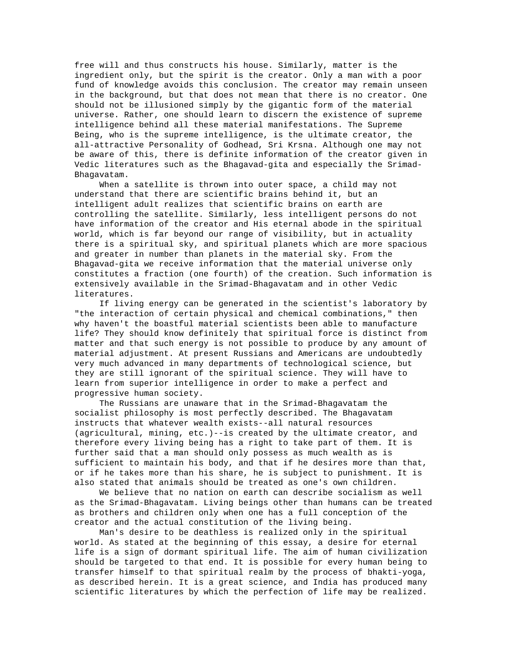free will and thus constructs his house. Similarly, matter is the ingredient only, but the spirit is the creator. Only a man with a poor fund of knowledge avoids this conclusion. The creator may remain unseen in the background, but that does not mean that there is no creator. One should not be illusioned simply by the gigantic form of the material universe. Rather, one should learn to discern the existence of supreme intelligence behind all these material manifestations. The Supreme Being, who is the supreme intelligence, is the ultimate creator, the all-attractive Personality of Godhead, Sri Krsna. Although one may not be aware of this, there is definite information of the creator given in Vedic literatures such as the Bhagavad-gita and especially the Srimad-Bhagavatam.

 When a satellite is thrown into outer space, a child may not understand that there are scientific brains behind it, but an intelligent adult realizes that scientific brains on earth are controlling the satellite. Similarly, less intelligent persons do not have information of the creator and His eternal abode in the spiritual world, which is far beyond our range of visibility, but in actuality there is a spiritual sky, and spiritual planets which are more spacious and greater in number than planets in the material sky. From the Bhagavad-gita we receive information that the material universe only constitutes a fraction (one fourth) of the creation. Such information is extensively available in the Srimad-Bhagavatam and in other Vedic literatures.

 If living energy can be generated in the scientist's laboratory by "the interaction of certain physical and chemical combinations," then why haven't the boastful material scientists been able to manufacture life? They should know definitely that spiritual force is distinct from matter and that such energy is not possible to produce by any amount of material adjustment. At present Russians and Americans are undoubtedly very much advanced in many departments of technological science, but they are still ignorant of the spiritual science. They will have to learn from superior intelligence in order to make a perfect and progressive human society.

 The Russians are unaware that in the Srimad-Bhagavatam the socialist philosophy is most perfectly described. The Bhagavatam instructs that whatever wealth exists--all natural resources (agricultural, mining, etc.)--is created by the ultimate creator, and therefore every living being has a right to take part of them. It is further said that a man should only possess as much wealth as is sufficient to maintain his body, and that if he desires more than that, or if he takes more than his share, he is subject to punishment. It is also stated that animals should be treated as one's own children.

 We believe that no nation on earth can describe socialism as well as the Srimad-Bhagavatam. Living beings other than humans can be treated as brothers and children only when one has a full conception of the creator and the actual constitution of the living being.

 Man's desire to be deathless is realized only in the spiritual world. As stated at the beginning of this essay, a desire for eternal life is a sign of dormant spiritual life. The aim of human civilization should be targeted to that end. It is possible for every human being to transfer himself to that spiritual realm by the process of bhakti-yoga, as described herein. It is a great science, and India has produced many scientific literatures by which the perfection of life may be realized.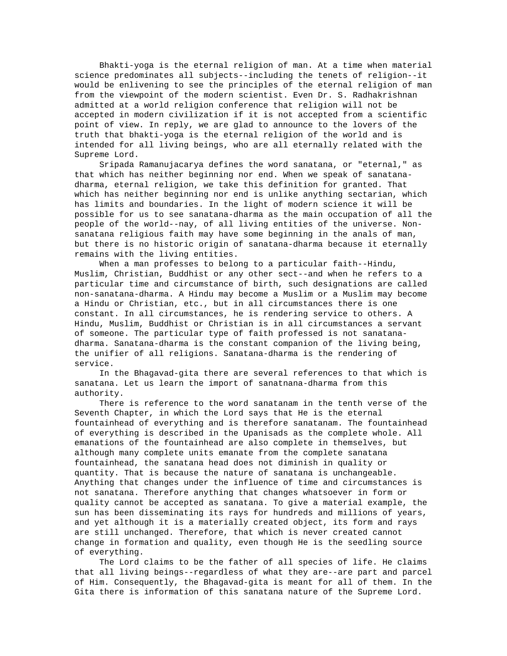Bhakti-yoga is the eternal religion of man. At a time when material science predominates all subjects--including the tenets of religion--it would be enlivening to see the principles of the eternal religion of man from the viewpoint of the modern scientist. Even Dr. S. Radhakrishnan admitted at a world religion conference that religion will not be accepted in modern civilization if it is not accepted from a scientific point of view. In reply, we are glad to announce to the lovers of the truth that bhakti-yoga is the eternal religion of the world and is intended for all living beings, who are all eternally related with the Supreme Lord.

 Sripada Ramanujacarya defines the word sanatana, or "eternal," as that which has neither beginning nor end. When we speak of sanatanadharma, eternal religion, we take this definition for granted. That which has neither beginning nor end is unlike anything sectarian, which has limits and boundaries. In the light of modern science it will be possible for us to see sanatana-dharma as the main occupation of all the people of the world--nay, of all living entities of the universe. Nonsanatana religious faith may have some beginning in the anals of man, but there is no historic origin of sanatana-dharma because it eternally remains with the living entities.

 When a man professes to belong to a particular faith--Hindu, Muslim, Christian, Buddhist or any other sect--and when he refers to a particular time and circumstance of birth, such designations are called non-sanatana-dharma. A Hindu may become a Muslim or a Muslim may become a Hindu or Christian, etc., but in all circumstances there is one constant. In all circumstances, he is rendering service to others. A Hindu, Muslim, Buddhist or Christian is in all circumstances a servant of someone. The particular type of faith professed is not sanatanadharma. Sanatana-dharma is the constant companion of the living being, the unifier of all religions. Sanatana-dharma is the rendering of service.

 In the Bhagavad-gita there are several references to that which is sanatana. Let us learn the import of sanatnana-dharma from this authority.

 There is reference to the word sanatanam in the tenth verse of the Seventh Chapter, in which the Lord says that He is the eternal fountainhead of everything and is therefore sanatanam. The fountainhead of everything is described in the Upanisads as the complete whole. All emanations of the fountainhead are also complete in themselves, but although many complete units emanate from the complete sanatana fountainhead, the sanatana head does not diminish in quality or quantity. That is because the nature of sanatana is unchangeable. Anything that changes under the influence of time and circumstances is not sanatana. Therefore anything that changes whatsoever in form or quality cannot be accepted as sanatana. To give a material example, the sun has been disseminating its rays for hundreds and millions of years, and yet although it is a materially created object, its form and rays are still unchanged. Therefore, that which is never created cannot change in formation and quality, even though He is the seedling source of everything.

 The Lord claims to be the father of all species of life. He claims that all living beings--regardless of what they are--are part and parcel of Him. Consequently, the Bhagavad-gita is meant for all of them. In the Gita there is information of this sanatana nature of the Supreme Lord.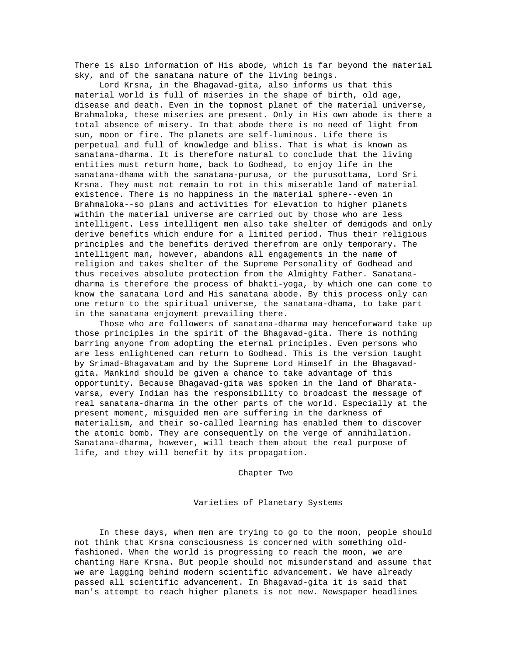There is also information of His abode, which is far beyond the material sky, and of the sanatana nature of the living beings.

 Lord Krsna, in the Bhagavad-gita, also informs us that this material world is full of miseries in the shape of birth, old age, disease and death. Even in the topmost planet of the material universe, Brahmaloka, these miseries are present. Only in His own abode is there a total absence of misery. In that abode there is no need of light from sun, moon or fire. The planets are self-luminous. Life there is perpetual and full of knowledge and bliss. That is what is known as sanatana-dharma. It is therefore natural to conclude that the living entities must return home, back to Godhead, to enjoy life in the sanatana-dhama with the sanatana-purusa, or the purusottama, Lord Sri Krsna. They must not remain to rot in this miserable land of material existence. There is no happiness in the material sphere--even in Brahmaloka--so plans and activities for elevation to higher planets within the material universe are carried out by those who are less intelligent. Less intelligent men also take shelter of demigods and only derive benefits which endure for a limited period. Thus their religious principles and the benefits derived therefrom are only temporary. The intelligent man, however, abandons all engagements in the name of religion and takes shelter of the Supreme Personality of Godhead and thus receives absolute protection from the Almighty Father. Sanatanadharma is therefore the process of bhakti-yoga, by which one can come to know the sanatana Lord and His sanatana abode. By this process only can one return to the spiritual universe, the sanatana-dhama, to take part in the sanatana enjoyment prevailing there.

 Those who are followers of sanatana-dharma may henceforward take up those principles in the spirit of the Bhagavad-gita. There is nothing barring anyone from adopting the eternal principles. Even persons who are less enlightened can return to Godhead. This is the version taught by Srimad-Bhagavatam and by the Supreme Lord Himself in the Bhagavadgita. Mankind should be given a chance to take advantage of this opportunity. Because Bhagavad-gita was spoken in the land of Bharatavarsa, every Indian has the responsibility to broadcast the message of real sanatana-dharma in the other parts of the world. Especially at the present moment, misguided men are suffering in the darkness of materialism, and their so-called learning has enabled them to discover the atomic bomb. They are consequently on the verge of annihilation. Sanatana-dharma, however, will teach them about the real purpose of life, and they will benefit by its propagation.

Chapter Two

Varieties of Planetary Systems

 In these days, when men are trying to go to the moon, people should not think that Krsna consciousness is concerned with something oldfashioned. When the world is progressing to reach the moon, we are chanting Hare Krsna. But people should not misunderstand and assume that we are lagging behind modern scientific advancement. We have already passed all scientific advancement. In Bhagavad-gita it is said that man's attempt to reach higher planets is not new. Newspaper headlines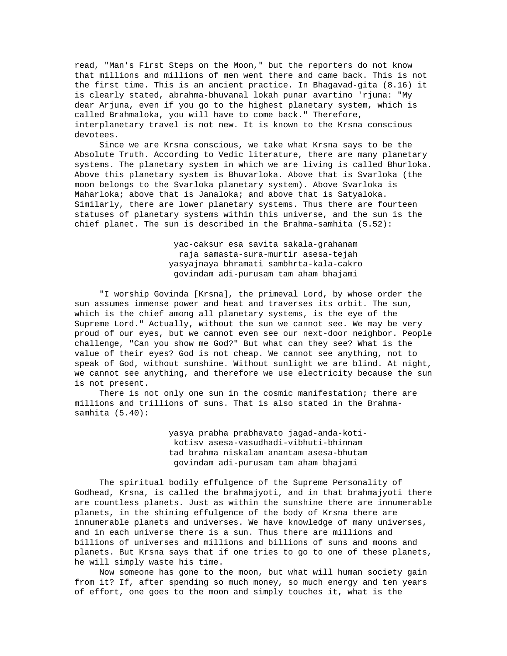read, "Man's First Steps on the Moon," but the reporters do not know that millions and millions of men went there and came back. This is not the first time. This is an ancient practice. In Bhagavad-gita (8.16) it is clearly stated, abrahma-bhuvanal lokah punar avartino 'rjuna: "My dear Arjuna, even if you go to the highest planetary system, which is called Brahmaloka, you will have to come back." Therefore, interplanetary travel is not new. It is known to the Krsna conscious devotees.

 Since we are Krsna conscious, we take what Krsna says to be the Absolute Truth. According to Vedic literature, there are many planetary systems. The planetary system in which we are living is called Bhurloka. Above this planetary system is Bhuvarloka. Above that is Svarloka (the moon belongs to the Svarloka planetary system). Above Svarloka is Maharloka; above that is Janaloka; and above that is Satyaloka. Similarly, there are lower planetary systems. Thus there are fourteen statuses of planetary systems within this universe, and the sun is the chief planet. The sun is described in the Brahma-samhita (5.52):

> yac-caksur esa savita sakala-grahanam raja samasta-sura-murtir asesa-tejah yasyajnaya bhramati sambhrta-kala-cakro govindam adi-purusam tam aham bhajami

 "I worship Govinda [Krsna], the primeval Lord, by whose order the sun assumes immense power and heat and traverses its orbit. The sun, which is the chief among all planetary systems, is the eye of the Supreme Lord." Actually, without the sun we cannot see. We may be very proud of our eyes, but we cannot even see our next-door neighbor. People challenge, "Can you show me God?" But what can they see? What is the value of their eyes? God is not cheap. We cannot see anything, not to speak of God, without sunshine. Without sunlight we are blind. At night, we cannot see anything, and therefore we use electricity because the sun is not present.

 There is not only one sun in the cosmic manifestation; there are millions and trillions of suns. That is also stated in the Brahmasamhita (5.40):

> yasya prabha prabhavato jagad-anda-koti kotisv asesa-vasudhadi-vibhuti-bhinnam tad brahma niskalam anantam asesa-bhutam govindam adi-purusam tam aham bhajami

 The spiritual bodily effulgence of the Supreme Personality of Godhead, Krsna, is called the brahmajyoti, and in that brahmajyoti there are countless planets. Just as within the sunshine there are innumerable planets, in the shining effulgence of the body of Krsna there are innumerable planets and universes. We have knowledge of many universes, and in each universe there is a sun. Thus there are millions and billions of universes and millions and billions of suns and moons and planets. But Krsna says that if one tries to go to one of these planets, he will simply waste his time.

 Now someone has gone to the moon, but what will human society gain from it? If, after spending so much money, so much energy and ten years of effort, one goes to the moon and simply touches it, what is the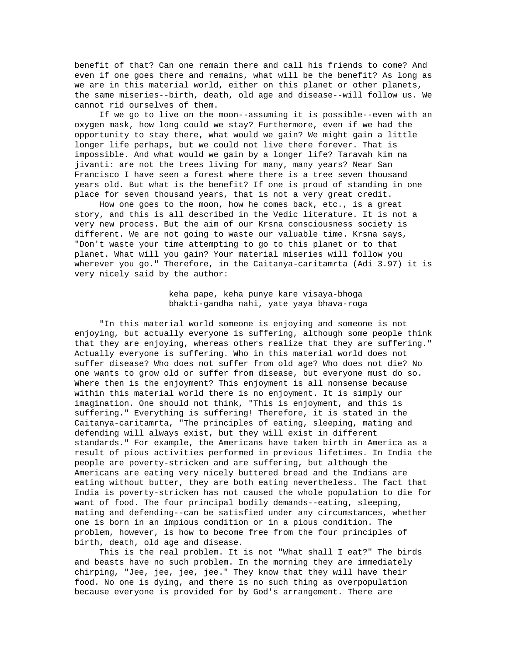benefit of that? Can one remain there and call his friends to come? And even if one goes there and remains, what will be the benefit? As long as we are in this material world, either on this planet or other planets, the same miseries--birth, death, old age and disease--will follow us. We cannot rid ourselves of them.

 If we go to live on the moon--assuming it is possible--even with an oxygen mask, how long could we stay? Furthermore, even if we had the opportunity to stay there, what would we gain? We might gain a little longer life perhaps, but we could not live there forever. That is impossible. And what would we gain by a longer life? Taravah kim na jivanti: are not the trees living for many, many years? Near San Francisco I have seen a forest where there is a tree seven thousand years old. But what is the benefit? If one is proud of standing in one place for seven thousand years, that is not a very great credit.

 How one goes to the moon, how he comes back, etc., is a great story, and this is all described in the Vedic literature. It is not a very new process. But the aim of our Krsna consciousness society is different. We are not going to waste our valuable time. Krsna says, "Don't waste your time attempting to go to this planet or to that planet. What will you gain? Your material miseries will follow you wherever you go." Therefore, in the Caitanya-caritamrta (Adi 3.97) it is very nicely said by the author:

> keha pape, keha punye kare visaya-bhoga bhakti-gandha nahi, yate yaya bhava-roga

 "In this material world someone is enjoying and someone is not enjoying, but actually everyone is suffering, although some people think that they are enjoying, whereas others realize that they are suffering." Actually everyone is suffering. Who in this material world does not suffer disease? Who does not suffer from old age? Who does not die? No one wants to grow old or suffer from disease, but everyone must do so. Where then is the enjoyment? This enjoyment is all nonsense because within this material world there is no enjoyment. It is simply our imagination. One should not think, "This is enjoyment, and this is suffering." Everything is suffering! Therefore, it is stated in the Caitanya-caritamrta, "The principles of eating, sleeping, mating and defending will always exist, but they will exist in different standards." For example, the Americans have taken birth in America as a result of pious activities performed in previous lifetimes. In India the people are poverty-stricken and are suffering, but although the Americans are eating very nicely buttered bread and the Indians are eating without butter, they are both eating nevertheless. The fact that India is poverty-stricken has not caused the whole population to die for want of food. The four principal bodily demands--eating, sleeping, mating and defending--can be satisfied under any circumstances, whether one is born in an impious condition or in a pious condition. The problem, however, is how to become free from the four principles of birth, death, old age and disease.

 This is the real problem. It is not "What shall I eat?" The birds and beasts have no such problem. In the morning they are immediately chirping, "Jee, jee, jee, jee." They know that they will have their food. No one is dying, and there is no such thing as overpopulation because everyone is provided for by God's arrangement. There are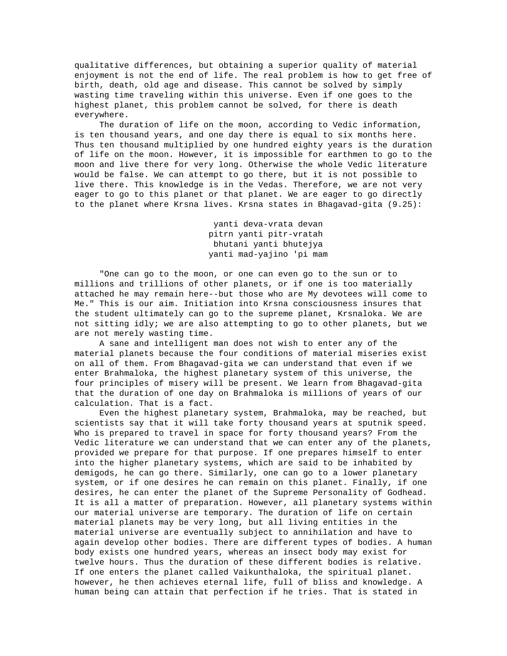qualitative differences, but obtaining a superior quality of material enjoyment is not the end of life. The real problem is how to get free of birth, death, old age and disease. This cannot be solved by simply wasting time traveling within this universe. Even if one goes to the highest planet, this problem cannot be solved, for there is death everywhere.

 The duration of life on the moon, according to Vedic information, is ten thousand years, and one day there is equal to six months here. Thus ten thousand multiplied by one hundred eighty years is the duration of life on the moon. However, it is impossible for earthmen to go to the moon and live there for very long. Otherwise the whole Vedic literature would be false. We can attempt to go there, but it is not possible to live there. This knowledge is in the Vedas. Therefore, we are not very eager to go to this planet or that planet. We are eager to go directly to the planet where Krsna lives. Krsna states in Bhagavad-gita (9.25):

> yanti deva-vrata devan pitrn yanti pitr-vratah bhutani yanti bhutejya yanti mad-yajino 'pi mam

 "One can go to the moon, or one can even go to the sun or to millions and trillions of other planets, or if one is too materially attached he may remain here--but those who are My devotees will come to Me." This is our aim. Initiation into Krsna consciousness insures that the student ultimately can go to the supreme planet, Krsnaloka. We are not sitting idly; we are also attempting to go to other planets, but we are not merely wasting time.

 A sane and intelligent man does not wish to enter any of the material planets because the four conditions of material miseries exist on all of them. From Bhagavad-gita we can understand that even if we enter Brahmaloka, the highest planetary system of this universe, the four principles of misery will be present. We learn from Bhagavad-gita that the duration of one day on Brahmaloka is millions of years of our calculation. That is a fact.

 Even the highest planetary system, Brahmaloka, may be reached, but scientists say that it will take forty thousand years at sputnik speed. Who is prepared to travel in space for forty thousand years? From the Vedic literature we can understand that we can enter any of the planets, provided we prepare for that purpose. If one prepares himself to enter into the higher planetary systems, which are said to be inhabited by demigods, he can go there. Similarly, one can go to a lower planetary system, or if one desires he can remain on this planet. Finally, if one desires, he can enter the planet of the Supreme Personality of Godhead. It is all a matter of preparation. However, all planetary systems within our material universe are temporary. The duration of life on certain material planets may be very long, but all living entities in the material universe are eventually subject to annihilation and have to again develop other bodies. There are different types of bodies. A human body exists one hundred years, whereas an insect body may exist for twelve hours. Thus the duration of these different bodies is relative. If one enters the planet called Vaikunthaloka, the spiritual planet. however, he then achieves eternal life, full of bliss and knowledge. A human being can attain that perfection if he tries. That is stated in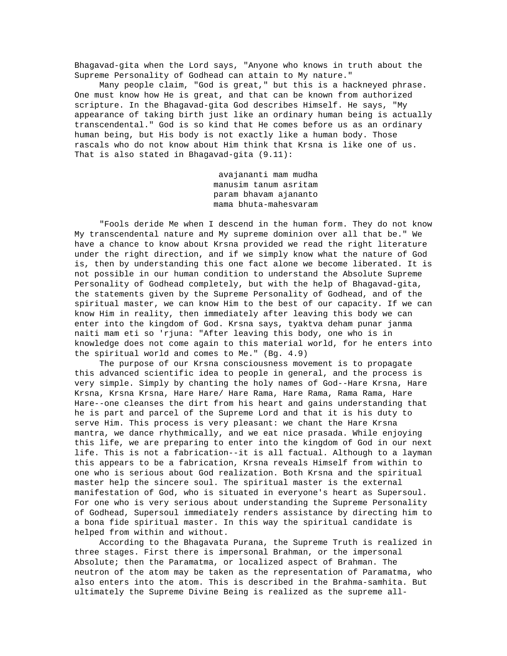Bhagavad-gita when the Lord says, "Anyone who knows in truth about the Supreme Personality of Godhead can attain to My nature."

 Many people claim, "God is great," but this is a hackneyed phrase. One must know how He is great, and that can be known from authorized scripture. In the Bhagavad-gita God describes Himself. He says, "My appearance of taking birth just like an ordinary human being is actually transcendental." God is so kind that He comes before us as an ordinary human being, but His body is not exactly like a human body. Those rascals who do not know about Him think that Krsna is like one of us. That is also stated in Bhagavad-gita (9.11):

> avajananti mam mudha manusim tanum asritam param bhavam ajananto mama bhuta-mahesvaram

 "Fools deride Me when I descend in the human form. They do not know My transcendental nature and My supreme dominion over all that be." We have a chance to know about Krsna provided we read the right literature under the right direction, and if we simply know what the nature of God is, then by understanding this one fact alone we become liberated. It is not possible in our human condition to understand the Absolute Supreme Personality of Godhead completely, but with the help of Bhagavad-gita, the statements given by the Supreme Personality of Godhead, and of the spiritual master, we can know Him to the best of our capacity. If we can know Him in reality, then immediately after leaving this body we can enter into the kingdom of God. Krsna says, tyaktva deham punar janma naiti mam eti so 'rjuna: "After leaving this body, one who is in knowledge does not come again to this material world, for he enters into the spiritual world and comes to Me." (Bg. 4.9)

 The purpose of our Krsna consciousness movement is to propagate this advanced scientific idea to people in general, and the process is very simple. Simply by chanting the holy names of God--Hare Krsna, Hare Krsna, Krsna Krsna, Hare Hare/ Hare Rama, Hare Rama, Rama Rama, Hare Hare--one cleanses the dirt from his heart and gains understanding that he is part and parcel of the Supreme Lord and that it is his duty to serve Him. This process is very pleasant: we chant the Hare Krsna mantra, we dance rhythmically, and we eat nice prasada. While enjoying this life, we are preparing to enter into the kingdom of God in our next life. This is not a fabrication--it is all factual. Although to a layman this appears to be a fabrication, Krsna reveals Himself from within to one who is serious about God realization. Both Krsna and the spiritual master help the sincere soul. The spiritual master is the external manifestation of God, who is situated in everyone's heart as Supersoul. For one who is very serious about understanding the Supreme Personality of Godhead, Supersoul immediately renders assistance by directing him to a bona fide spiritual master. In this way the spiritual candidate is helped from within and without.

 According to the Bhagavata Purana, the Supreme Truth is realized in three stages. First there is impersonal Brahman, or the impersonal Absolute; then the Paramatma, or localized aspect of Brahman. The neutron of the atom may be taken as the representation of Paramatma, who also enters into the atom. This is described in the Brahma-samhita. But ultimately the Supreme Divine Being is realized as the supreme all-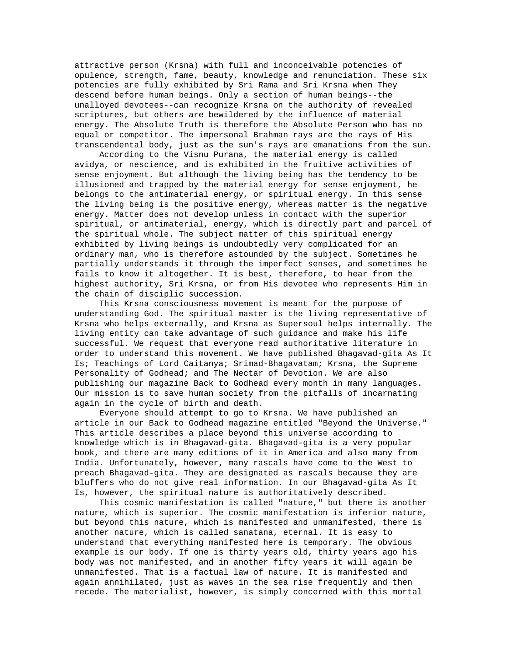attractive person (Krsna) with full and inconceivable potencies of opulence, strength, fame, beauty, knowledge and renunciation. These six potencies are fully exhibited by Sri Rama and Sri Krsna when They descend before human beings. Only a section of human beings--the unalloyed devotees--can recognize Krsna on the authority of revealed scriptures, but others are bewildered by the influence of material energy. The Absolute Truth is therefore the Absolute Person who has no equal or competitor. The impersonal Brahman rays are the rays of His transcendental body, just as the sun's rays are emanations from the sun.

 According to the Visnu Purana, the material energy is called avidya, or nescience, and is exhibited in the fruitive activities of sense enjoyment. But although the living being has the tendency to be illusioned and trapped by the material energy for sense enjoyment, he belongs to the antimaterial energy, or spiritual energy. In this sense the living being is the positive energy, whereas matter is the negative energy. Matter does not develop unless in contact with the superior spiritual, or antimaterial, energy, which is directly part and parcel of the spiritual whole. The subject matter of this spiritual energy exhibited by living beings is undoubtedly very complicated for an ordinary man, who is therefore astounded by the subject. Sometimes he partially understands it through the imperfect senses, and sometimes he fails to know it altogether. It is best, therefore, to hear from the highest authority, Sri Krsna, or from His devotee who represents Him in the chain of disciplic succession.

 This Krsna consciousness movement is meant for the purpose of understanding God. The spiritual master is the living representative of Krsna who helps externally, and Krsna as Supersoul helps internally. The living entity can take advantage of such guidance and make his life successful. We request that everyone read authoritative literature in order to understand this movement. We have published Bhagavad-gita As It Is; Teachings of Lord Caitanya; Srimad-Bhagavatam; Krsna, the Supreme Personality of Godhead; and The Nectar of Devotion. We are also publishing our magazine Back to Godhead every month in many languages. Our mission is to save human society from the pitfalls of incarnating again in the cycle of birth and death.

 Everyone should attempt to go to Krsna. We have published an article in our Back to Godhead magazine entitled "Beyond the Universe." This article describes a place beyond this universe according to knowledge which is in Bhagavad-gita. Bhagavad-gita is a very popular book, and there are many editions of it in America and also many from India. Unfortunately, however, many rascals have come to the West to preach Bhagavad-gita. They are designated as rascals because they are bluffers who do not give real information. In our Bhagavad-gita As It Is, however, the spiritual nature is authoritatively described.

 This cosmic manifestation is called "nature," but there is another nature, which is superior. The cosmic manifestation is inferior nature, but beyond this nature, which is manifested and unmanifested, there is another nature, which is called sanatana, eternal. It is easy to understand that everything manifested here is temporary. The obvious example is our body. If one is thirty years old, thirty years ago his body was not manifested, and in another fifty years it will again be unmanifested. That is a factual law of nature. It is manifested and again annihilated, just as waves in the sea rise frequently and then recede. The materialist, however, is simply concerned with this mortal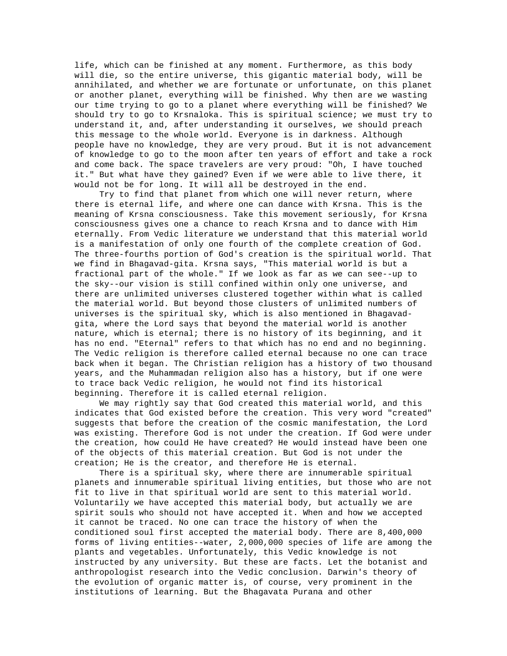life, which can be finished at any moment. Furthermore, as this body will die, so the entire universe, this gigantic material body, will be annihilated, and whether we are fortunate or unfortunate, on this planet or another planet, everything will be finished. Why then are we wasting our time trying to go to a planet where everything will be finished? We should try to go to Krsnaloka. This is spiritual science; we must try to understand it, and, after understanding it ourselves, we should preach this message to the whole world. Everyone is in darkness. Although people have no knowledge, they are very proud. But it is not advancement of knowledge to go to the moon after ten years of effort and take a rock and come back. The space travelers are very proud: "Oh, I have touched it." But what have they gained? Even if we were able to live there, it would not be for long. It will all be destroyed in the end.

 Try to find that planet from which one will never return, where there is eternal life, and where one can dance with Krsna. This is the meaning of Krsna consciousness. Take this movement seriously, for Krsna consciousness gives one a chance to reach Krsna and to dance with Him eternally. From Vedic literature we understand that this material world is a manifestation of only one fourth of the complete creation of God. The three-fourths portion of God's creation is the spiritual world. That we find in Bhagavad-gita. Krsna says, "This material world is but a fractional part of the whole." If we look as far as we can see--up to the sky--our vision is still confined within only one universe, and there are unlimited universes clustered together within what is called the material world. But beyond those clusters of unlimited numbers of universes is the spiritual sky, which is also mentioned in Bhagavadgita, where the Lord says that beyond the material world is another nature, which is eternal; there is no history of its beginning, and it has no end. "Eternal" refers to that which has no end and no beginning. The Vedic religion is therefore called eternal because no one can trace back when it began. The Christian religion has a history of two thousand years, and the Muhammadan religion also has a history, but if one were to trace back Vedic religion, he would not find its historical beginning. Therefore it is called eternal religion.

 We may rightly say that God created this material world, and this indicates that God existed before the creation. This very word "created" suggests that before the creation of the cosmic manifestation, the Lord was existing. Therefore God is not under the creation. If God were under the creation, how could He have created? He would instead have been one of the objects of this material creation. But God is not under the creation; He is the creator, and therefore He is eternal.

 There is a spiritual sky, where there are innumerable spiritual planets and innumerable spiritual living entities, but those who are not fit to live in that spiritual world are sent to this material world. Voluntarily we have accepted this material body, but actually we are spirit souls who should not have accepted it. When and how we accepted it cannot be traced. No one can trace the history of when the conditioned soul first accepted the material body. There are 8,400,000 forms of living entities--water, 2,000,000 species of life are among the plants and vegetables. Unfortunately, this Vedic knowledge is not instructed by any university. But these are facts. Let the botanist and anthropologist research into the Vedic conclusion. Darwin's theory of the evolution of organic matter is, of course, very prominent in the institutions of learning. But the Bhagavata Purana and other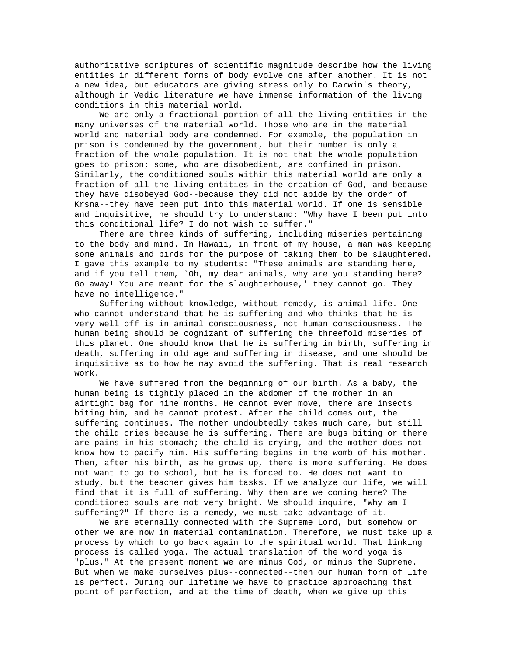authoritative scriptures of scientific magnitude describe how the living entities in different forms of body evolve one after another. It is not a new idea, but educators are giving stress only to Darwin's theory, although in Vedic literature we have immense information of the living conditions in this material world.

 We are only a fractional portion of all the living entities in the many universes of the material world. Those who are in the material world and material body are condemned. For example, the population in prison is condemned by the government, but their number is only a fraction of the whole population. It is not that the whole population goes to prison; some, who are disobedient, are confined in prison. Similarly, the conditioned souls within this material world are only a fraction of all the living entities in the creation of God, and because they have disobeyed God--because they did not abide by the order of Krsna--they have been put into this material world. If one is sensible and inquisitive, he should try to understand: "Why have I been put into this conditional life? I do not wish to suffer."

 There are three kinds of suffering, including miseries pertaining to the body and mind. In Hawaii, in front of my house, a man was keeping some animals and birds for the purpose of taking them to be slaughtered. I gave this example to my students: "These animals are standing here, and if you tell them, `Oh, my dear animals, why are you standing here? Go away! You are meant for the slaughterhouse,' they cannot go. They have no intelligence."

 Suffering without knowledge, without remedy, is animal life. One who cannot understand that he is suffering and who thinks that he is very well off is in animal consciousness, not human consciousness. The human being should be cognizant of suffering the threefold miseries of this planet. One should know that he is suffering in birth, suffering in death, suffering in old age and suffering in disease, and one should be inquisitive as to how he may avoid the suffering. That is real research work.

 We have suffered from the beginning of our birth. As a baby, the human being is tightly placed in the abdomen of the mother in an airtight bag for nine months. He cannot even move, there are insects biting him, and he cannot protest. After the child comes out, the suffering continues. The mother undoubtedly takes much care, but still the child cries because he is suffering. There are bugs biting or there are pains in his stomach; the child is crying, and the mother does not know how to pacify him. His suffering begins in the womb of his mother. Then, after his birth, as he grows up, there is more suffering. He does not want to go to school, but he is forced to. He does not want to study, but the teacher gives him tasks. If we analyze our life, we will find that it is full of suffering. Why then are we coming here? The conditioned souls are not very bright. We should inquire, "Why am I suffering?" If there is a remedy, we must take advantage of it.

 We are eternally connected with the Supreme Lord, but somehow or other we are now in material contamination. Therefore, we must take up a process by which to go back again to the spiritual world. That linking process is called yoga. The actual translation of the word yoga is "plus." At the present moment we are minus God, or minus the Supreme. But when we make ourselves plus--connected--then our human form of life is perfect. During our lifetime we have to practice approaching that point of perfection, and at the time of death, when we give up this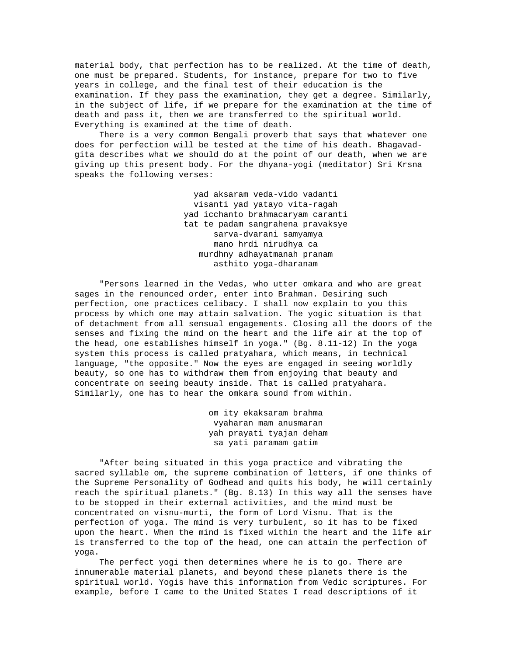material body, that perfection has to be realized. At the time of death, one must be prepared. Students, for instance, prepare for two to five years in college, and the final test of their education is the examination. If they pass the examination, they get a degree. Similarly, in the subject of life, if we prepare for the examination at the time of death and pass it, then we are transferred to the spiritual world. Everything is examined at the time of death.

 There is a very common Bengali proverb that says that whatever one does for perfection will be tested at the time of his death. Bhagavadgita describes what we should do at the point of our death, when we are giving up this present body. For the dhyana-yogi (meditator) Sri Krsna speaks the following verses:

> yad aksaram veda-vido vadanti visanti yad yatayo vita-ragah yad icchanto brahmacaryam caranti tat te padam sangrahena pravaksye sarva-dvarani samyamya mano hrdi nirudhya ca murdhny adhayatmanah pranam asthito yoga-dharanam

 "Persons learned in the Vedas, who utter omkara and who are great sages in the renounced order, enter into Brahman. Desiring such perfection, one practices celibacy. I shall now explain to you this process by which one may attain salvation. The yogic situation is that of detachment from all sensual engagements. Closing all the doors of the senses and fixing the mind on the heart and the life air at the top of the head, one establishes himself in yoga." (Bg. 8.11-12) In the yoga system this process is called pratyahara, which means, in technical language, "the opposite." Now the eyes are engaged in seeing worldly beauty, so one has to withdraw them from enjoying that beauty and concentrate on seeing beauty inside. That is called pratyahara. Similarly, one has to hear the omkara sound from within.

> om ity ekaksaram brahma vyaharan mam anusmaran yah prayati tyajan deham sa yati paramam gatim

 "After being situated in this yoga practice and vibrating the sacred syllable om, the supreme combination of letters, if one thinks of the Supreme Personality of Godhead and quits his body, he will certainly reach the spiritual planets." (Bg. 8.13) In this way all the senses have to be stopped in their external activities, and the mind must be concentrated on visnu-murti, the form of Lord Visnu. That is the perfection of yoga. The mind is very turbulent, so it has to be fixed upon the heart. When the mind is fixed within the heart and the life air is transferred to the top of the head, one can attain the perfection of yoga.

 The perfect yogi then determines where he is to go. There are innumerable material planets, and beyond these planets there is the spiritual world. Yogis have this information from Vedic scriptures. For example, before I came to the United States I read descriptions of it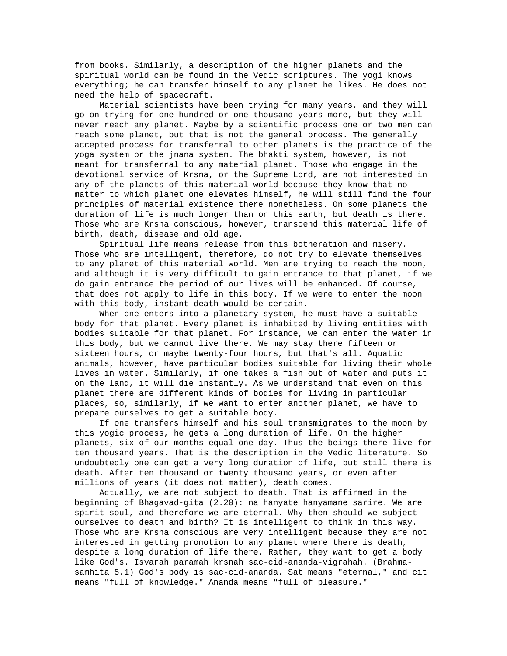from books. Similarly, a description of the higher planets and the spiritual world can be found in the Vedic scriptures. The yogi knows everything; he can transfer himself to any planet he likes. He does not need the help of spacecraft.

 Material scientists have been trying for many years, and they will go on trying for one hundred or one thousand years more, but they will never reach any planet. Maybe by a scientific process one or two men can reach some planet, but that is not the general process. The generally accepted process for transferral to other planets is the practice of the yoga system or the jnana system. The bhakti system, however, is not meant for transferral to any material planet. Those who engage in the devotional service of Krsna, or the Supreme Lord, are not interested in any of the planets of this material world because they know that no matter to which planet one elevates himself, he will still find the four principles of material existence there nonetheless. On some planets the duration of life is much longer than on this earth, but death is there. Those who are Krsna conscious, however, transcend this material life of birth, death, disease and old age.

 Spiritual life means release from this botheration and misery. Those who are intelligent, therefore, do not try to elevate themselves to any planet of this material world. Men are trying to reach the moon, and although it is very difficult to gain entrance to that planet, if we do gain entrance the period of our lives will be enhanced. Of course, that does not apply to life in this body. If we were to enter the moon with this body, instant death would be certain.

 When one enters into a planetary system, he must have a suitable body for that planet. Every planet is inhabited by living entities with bodies suitable for that planet. For instance, we can enter the water in this body, but we cannot live there. We may stay there fifteen or sixteen hours, or maybe twenty-four hours, but that's all. Aquatic animals, however, have particular bodies suitable for living their whole lives in water. Similarly, if one takes a fish out of water and puts it on the land, it will die instantly. As we understand that even on this planet there are different kinds of bodies for living in particular places, so, similarly, if we want to enter another planet, we have to prepare ourselves to get a suitable body.

 If one transfers himself and his soul transmigrates to the moon by this yogic process, he gets a long duration of life. On the higher planets, six of our months equal one day. Thus the beings there live for ten thousand years. That is the description in the Vedic literature. So undoubtedly one can get a very long duration of life, but still there is death. After ten thousand or twenty thousand years, or even after millions of years (it does not matter), death comes.

 Actually, we are not subject to death. That is affirmed in the beginning of Bhagavad-gita (2.20): na hanyate hanyamane sarire. We are spirit soul, and therefore we are eternal. Why then should we subject ourselves to death and birth? It is intelligent to think in this way. Those who are Krsna conscious are very intelligent because they are not interested in getting promotion to any planet where there is death, despite a long duration of life there. Rather, they want to get a body like God's. Isvarah paramah krsnah sac-cid-ananda-vigrahah. (Brahmasamhita 5.1) God's body is sac-cid-ananda. Sat means "eternal," and cit means "full of knowledge." Ananda means "full of pleasure."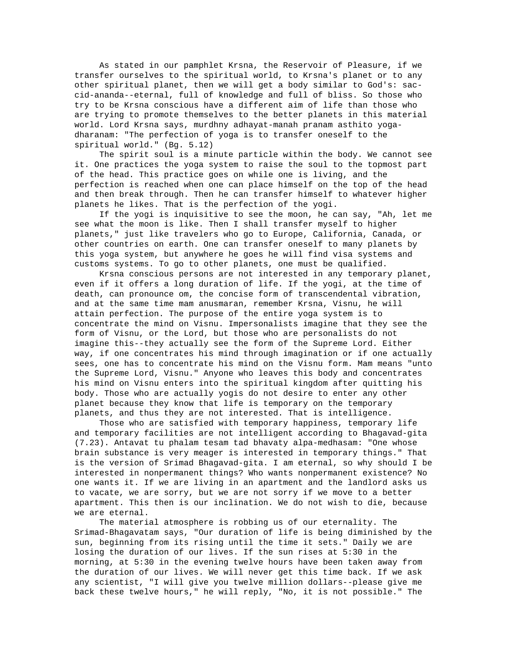As stated in our pamphlet Krsna, the Reservoir of Pleasure, if we transfer ourselves to the spiritual world, to Krsna's planet or to any other spiritual planet, then we will get a body similar to God's: saccid-ananda--eternal, full of knowledge and full of bliss. So those who try to be Krsna conscious have a different aim of life than those who are trying to promote themselves to the better planets in this material world. Lord Krsna says, murdhny adhayat-manah pranam asthito yogadharanam: "The perfection of yoga is to transfer oneself to the spiritual world." (Bg. 5.12)

 The spirit soul is a minute particle within the body. We cannot see it. One practices the yoga system to raise the soul to the topmost part of the head. This practice goes on while one is living, and the perfection is reached when one can place himself on the top of the head and then break through. Then he can transfer himself to whatever higher planets he likes. That is the perfection of the yogi.

 If the yogi is inquisitive to see the moon, he can say, "Ah, let me see what the moon is like. Then I shall transfer myself to higher planets," just like travelers who go to Europe, California, Canada, or other countries on earth. One can transfer oneself to many planets by this yoga system, but anywhere he goes he will find visa systems and customs systems. To go to other planets, one must be qualified.

 Krsna conscious persons are not interested in any temporary planet, even if it offers a long duration of life. If the yogi, at the time of death, can pronounce om, the concise form of transcendental vibration, and at the same time mam anusmaran, remember Krsna, Visnu, he will attain perfection. The purpose of the entire yoga system is to concentrate the mind on Visnu. Impersonalists imagine that they see the form of Visnu, or the Lord, but those who are personalists do not imagine this--they actually see the form of the Supreme Lord. Either way, if one concentrates his mind through imagination or if one actually sees, one has to concentrate his mind on the Visnu form. Mam means "unto the Supreme Lord, Visnu." Anyone who leaves this body and concentrates his mind on Visnu enters into the spiritual kingdom after quitting his body. Those who are actually yogis do not desire to enter any other planet because they know that life is temporary on the temporary planets, and thus they are not interested. That is intelligence.

 Those who are satisfied with temporary happiness, temporary life and temporary facilities are not intelligent according to Bhagavad-gita (7.23). Antavat tu phalam tesam tad bhavaty alpa-medhasam: "One whose brain substance is very meager is interested in temporary things." That is the version of Srimad Bhagavad-gita. I am eternal, so why should I be interested in nonpermanent things? Who wants nonpermanent existence? No one wants it. If we are living in an apartment and the landlord asks us to vacate, we are sorry, but we are not sorry if we move to a better apartment. This then is our inclination. We do not wish to die, because we are eternal.

 The material atmosphere is robbing us of our eternality. The Srimad-Bhagavatam says, "Our duration of life is being diminished by the sun, beginning from its rising until the time it sets." Daily we are losing the duration of our lives. If the sun rises at 5:30 in the morning, at 5:30 in the evening twelve hours have been taken away from the duration of our lives. We will never get this time back. If we ask any scientist, "I will give you twelve million dollars--please give me back these twelve hours," he will reply, "No, it is not possible." The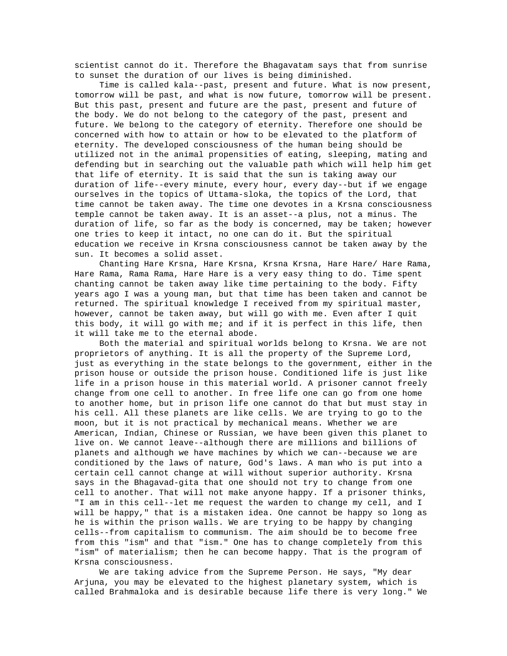scientist cannot do it. Therefore the Bhagavatam says that from sunrise to sunset the duration of our lives is being diminished.

 Time is called kala--past, present and future. What is now present, tomorrow will be past, and what is now future, tomorrow will be present. But this past, present and future are the past, present and future of the body. We do not belong to the category of the past, present and future. We belong to the category of eternity. Therefore one should be concerned with how to attain or how to be elevated to the platform of eternity. The developed consciousness of the human being should be utilized not in the animal propensities of eating, sleeping, mating and defending but in searching out the valuable path which will help him get that life of eternity. It is said that the sun is taking away our duration of life--every minute, every hour, every day--but if we engage ourselves in the topics of Uttama-sloka, the topics of the Lord, that time cannot be taken away. The time one devotes in a Krsna consciousness temple cannot be taken away. It is an asset--a plus, not a minus. The duration of life, so far as the body is concerned, may be taken; however one tries to keep it intact, no one can do it. But the spiritual education we receive in Krsna consciousness cannot be taken away by the sun. It becomes a solid asset.

 Chanting Hare Krsna, Hare Krsna, Krsna Krsna, Hare Hare/ Hare Rama, Hare Rama, Rama Rama, Hare Hare is a very easy thing to do. Time spent chanting cannot be taken away like time pertaining to the body. Fifty years ago I was a young man, but that time has been taken and cannot be returned. The spiritual knowledge I received from my spiritual master, however, cannot be taken away, but will go with me. Even after I quit this body, it will go with me; and if it is perfect in this life, then it will take me to the eternal abode.

 Both the material and spiritual worlds belong to Krsna. We are not proprietors of anything. It is all the property of the Supreme Lord, just as everything in the state belongs to the government, either in the prison house or outside the prison house. Conditioned life is just like life in a prison house in this material world. A prisoner cannot freely change from one cell to another. In free life one can go from one home to another home, but in prison life one cannot do that but must stay in his cell. All these planets are like cells. We are trying to go to the moon, but it is not practical by mechanical means. Whether we are American, Indian, Chinese or Russian, we have been given this planet to live on. We cannot leave--although there are millions and billions of planets and although we have machines by which we can--because we are conditioned by the laws of nature, God's laws. A man who is put into a certain cell cannot change at will without superior authority. Krsna says in the Bhagavad-gita that one should not try to change from one cell to another. That will not make anyone happy. If a prisoner thinks, "I am in this cell--let me request the warden to change my cell, and I will be happy," that is a mistaken idea. One cannot be happy so long as he is within the prison walls. We are trying to be happy by changing cells--from capitalism to communism. The aim should be to become free from this "ism" and that "ism." One has to change completely from this "ism" of materialism; then he can become happy. That is the program of Krsna consciousness.

 We are taking advice from the Supreme Person. He says, "My dear Arjuna, you may be elevated to the highest planetary system, which is called Brahmaloka and is desirable because life there is very long." We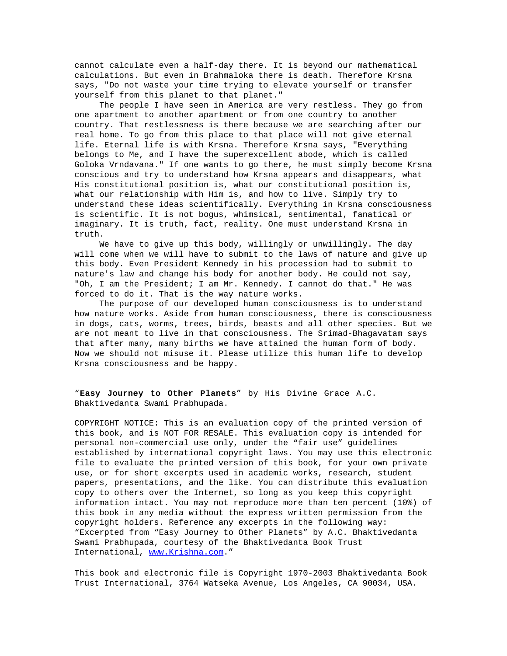cannot calculate even a half-day there. It is beyond our mathematical calculations. But even in Brahmaloka there is death. Therefore Krsna says, "Do not waste your time trying to elevate yourself or transfer yourself from this planet to that planet."

 The people I have seen in America are very restless. They go from one apartment to another apartment or from one country to another country. That restlessness is there because we are searching after our real home. To go from this place to that place will not give eternal life. Eternal life is with Krsna. Therefore Krsna says, "Everything belongs to Me, and I have the superexcellent abode, which is called Goloka Vrndavana." If one wants to go there, he must simply become Krsna conscious and try to understand how Krsna appears and disappears, what His constitutional position is, what our constitutional position is, what our relationship with Him is, and how to live. Simply try to understand these ideas scientifically. Everything in Krsna consciousness is scientific. It is not bogus, whimsical, sentimental, fanatical or imaginary. It is truth, fact, reality. One must understand Krsna in truth.

 We have to give up this body, willingly or unwillingly. The day will come when we will have to submit to the laws of nature and give up this body. Even President Kennedy in his procession had to submit to nature's law and change his body for another body. He could not say, "Oh, I am the President; I am Mr. Kennedy. I cannot do that." He was forced to do it. That is the way nature works.

 The purpose of our developed human consciousness is to understand how nature works. Aside from human consciousness, there is consciousness in dogs, cats, worms, trees, birds, beasts and all other species. But we are not meant to live in that consciousness. The Srimad-Bhagavatam says that after many, many births we have attained the human form of body. Now we should not misuse it. Please utilize this human life to develop Krsna consciousness and be happy.

"**Easy Journey to Other Planets**" by His Divine Grace A.C. Bhaktivedanta Swami Prabhupada.

COPYRIGHT NOTICE: This is an evaluation copy of the printed version of this book, and is NOT FOR RESALE. This evaluation copy is intended for personal non-commercial use only, under the "fair use" guidelines established by international copyright laws. You may use this electronic file to evaluate the printed version of this book, for your own private use, or for short excerpts used in academic works, research, student papers, presentations, and the like. You can distribute this evaluation copy to others over the Internet, so long as you keep this copyright information intact. You may not reproduce more than ten percent (10%) of this book in any media without the express written permission from the copyright holders. Reference any excerpts in the following way: "Excerpted from "Easy Journey to Other Planets" by A.C. Bhaktivedanta Swami Prabhupada, courtesy of the Bhaktivedanta Book Trust International, www.Krishna.com."

This book and electronic file is Copyright 1970-2003 Bhaktivedanta Book Trust International, 3764 Watseka Avenue, Los Angeles, CA 90034, USA.